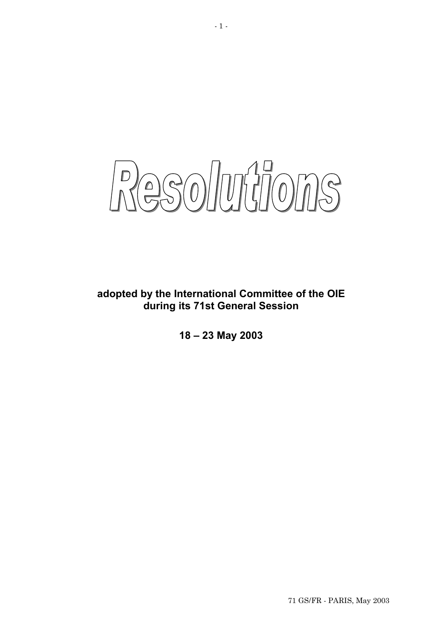Resolutions

**adopted by the International Committee of the OIE during its 71st General Session** 

**18 – 23 May 2003**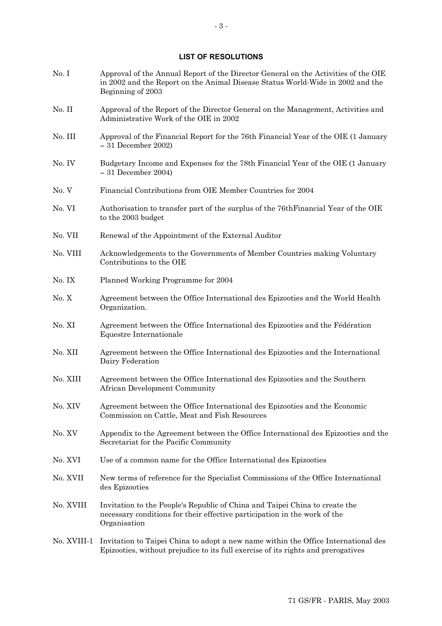#### **LIST OF RESOLUTIONS**

- No. I Approval of the Annual Report of the Director General on the Activities of the OIE in 2002 and the Report on the Animal Disease Status World-Wide in 2002 and the Beginning of 2003
- No. II Approval of the Report of the Director General on the Management, Activities and Administrative Work of the OIE in 2002
- No. III Approval of the Financial Report for the 76th Financial Year of the OIE (1 January — 31 December 2002)
- No. IV Budgetary Income and Expenses for the 78th Financial Year of the OIE (1 January — 31 December 2004)
- No. V Financial Contributions from OIE Member Countries for 2004
- No. VI Authorisation to transfer part of the surplus of the 76thFinancial Year of the OIE to the 2003 budget
- No. VII Renewal of the Appointment of the External Auditor
- No. VIII Acknowledgements to the Governments of Member Countries making Voluntary Contributions to the OIE
- No. IX Planned Working Programme for 2004
- No. X Agreement between the Office International des Epizooties and the World Health Organization.
- No. XI Agreement between the Office International des Epizooties and the Fédération Equestre Internationale
- No. XII Agreement between the Office International des Epizooties and the International Dairy Federation
- No. XIII Agreement between the Office International des Epizooties and the Southern African Development Community
- No. XIV Agreement between the Office International des Epizooties and the Economic Commission on Cattle, Meat and Fish Resources
- No. XV Appendix to the Agreement between the Office International des Epizooties and the Secretariat for the Pacific Community
- No. XVI Use of a common name for the Office International des Epizooties
- No. XVII New terms of reference for the Specialist Commissions of the Office International des Epizooties
- No. XVIII Invitation to the People's Republic of China and Taipei China to create the necessary conditions for their effective participation in the work of the Organisation
- No. XVIII-1 Invitation to Taipei China to adopt a new name within the Office International des Epizooties, without prejudice to its full exercise of its rights and prerogatives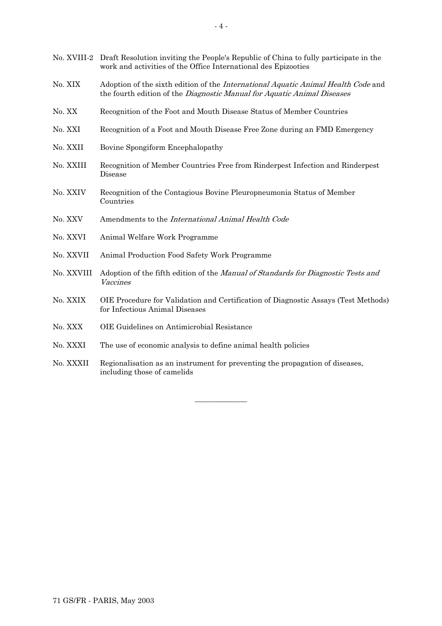| No. XVIII-2 | Draft Resolution inviting the People's Republic of China to fully participate in the<br>work and activities of the Office International des Epizooties       |
|-------------|--------------------------------------------------------------------------------------------------------------------------------------------------------------|
| No. XIX     | Adoption of the sixth edition of the International Aquatic Animal Health Code and<br>the fourth edition of the Diagnostic Manual for Aquatic Animal Diseases |
| No. XX      | Recognition of the Foot and Mouth Disease Status of Member Countries                                                                                         |
| No. XXI     | Recognition of a Foot and Mouth Disease Free Zone during an FMD Emergency                                                                                    |
| No. XXII    | Bovine Spongiform Encephalopathy                                                                                                                             |
| No. XXIII   | Recognition of Member Countries Free from Rinderpest Infection and Rinderpest<br>Disease                                                                     |
| No. XXIV    | Recognition of the Contagious Bovine Pleuropneumonia Status of Member<br>Countries                                                                           |
| No. XXV     | Amendments to the International Animal Health Code                                                                                                           |
| No. XXVI    | Animal Welfare Work Programme                                                                                                                                |
| No. XXVII   | Animal Production Food Safety Work Programme                                                                                                                 |
| No. XXVIII  | Adoption of the fifth edition of the Manual of Standards for Diagnostic Tests and<br>Vaccines                                                                |
| No. XXIX    | OIE Procedure for Validation and Certification of Diagnostic Assays (Test Methods)<br>for Infectious Animal Diseases                                         |
| No. XXX     | OIE Guidelines on Antimicrobial Resistance                                                                                                                   |
| No. XXXI    | The use of economic analysis to define animal health policies                                                                                                |
| No. XXXII   | Regionalisation as an instrument for preventing the propagation of diseases,<br>including those of camelids                                                  |

**\_\_\_\_\_\_\_\_\_\_\_\_\_\_**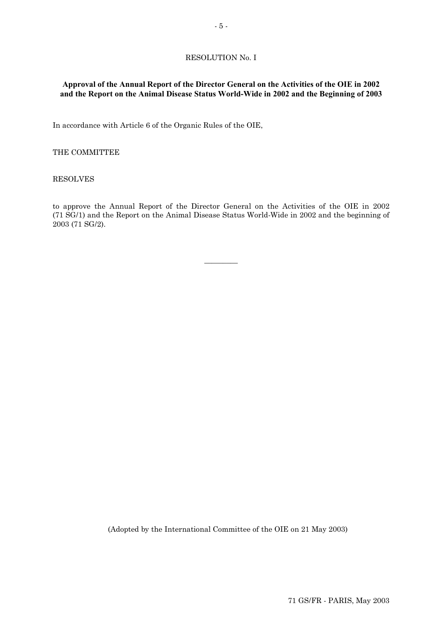### RESOLUTION No. I

# **Approval of the Annual Report of the Director General on the Activities of the OIE in 2002 and the Report on the Animal Disease Status World-Wide in 2002 and the Beginning of 2003**

In accordance with Article 6 of the Organic Rules of the OIE,

#### THE COMMITTEE

#### RESOLVES

to approve the Annual Report of the Director General on the Activities of the OIE in 2002 (71 SG/1) and the Report on the Animal Disease Status World-Wide in 2002 and the beginning of 2003 (71 SG/2).

 $\overline{\phantom{a}}$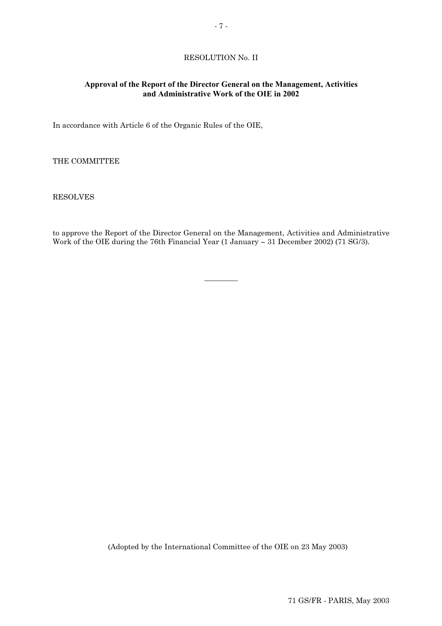# RESOLUTION No. II

# **Approval of the Report of the Director General on the Management, Activities and Administrative Work of the OIE in 2002**

In accordance with Article 6 of the Organic Rules of the OIE,

THE COMMITTEE

RESOLVES

to approve the Report of the Director General on the Management, Activities and Administrative Work of the OIE during the 76th Financial Year (1 January — 31 December 2002) (71 SG/3).

 $\overline{\phantom{a}}$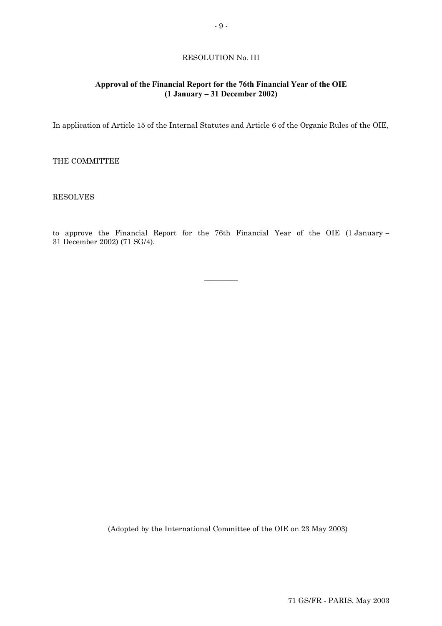### RESOLUTION No. III

# **Approval of the Financial Report for the 76th Financial Year of the OIE (1 January – 31 December 2002)**

In application of Article 15 of the Internal Statutes and Article 6 of the Organic Rules of the OIE,

THE COMMITTEE

### RESOLVES

to approve the Financial Report for the 76th Financial Year of the OIE (1 January — 31 December 2002) (71 SG/4).

 $\overline{\phantom{a}}$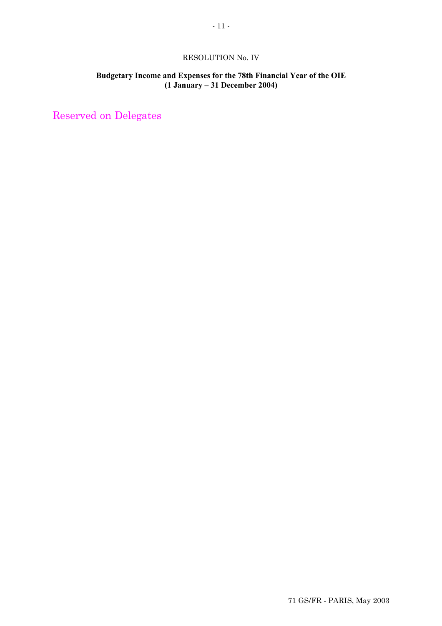# RESOLUTION No. IV

# **Budgetary Income and Expenses for the 78th Financial Year of the OIE (1 January – 31 December 2004)**

Reserved on Delegates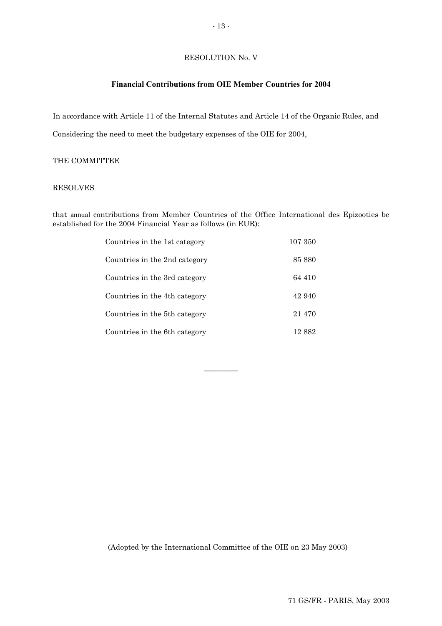### RESOLUTION No. V

### **Financial Contributions from OIE Member Countries for 2004**

In accordance with Article 11 of the Internal Statutes and Article 14 of the Organic Rules, and

Considering the need to meet the budgetary expenses of the OIE for 2004,

### THE COMMITTEE

### RESOLVES

that annual contributions from Member Countries of the Office International des Epizooties be established for the 2004 Financial Year as follows (in EUR):

| Countries in the 1st category             | 107 350 |
|-------------------------------------------|---------|
| Countries in the 2nd category             | 85 880  |
| Countries in the 3rd category             | 64 410  |
| Countries in the 4th category             | 42.940  |
| Countries in the 5 <sup>th</sup> category | 21 470  |
| Countries in the 6th category             | 12 882  |

 $\overline{\phantom{a}}$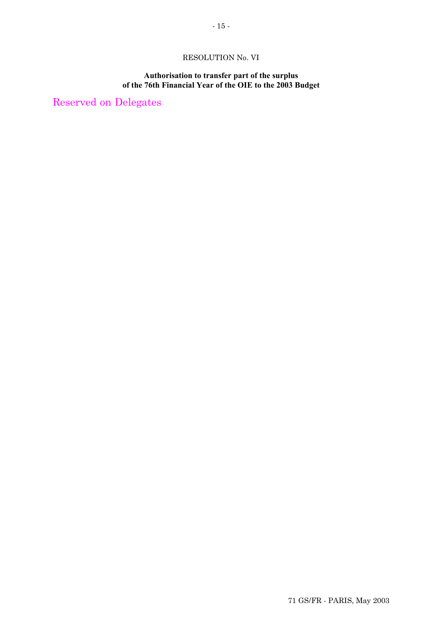# RESOLUTION No. VI

# **Authorisation to transfer part of the surplus of the 76th Financial Year of the OIE to the 2003 Budget**

Reserved on Delegates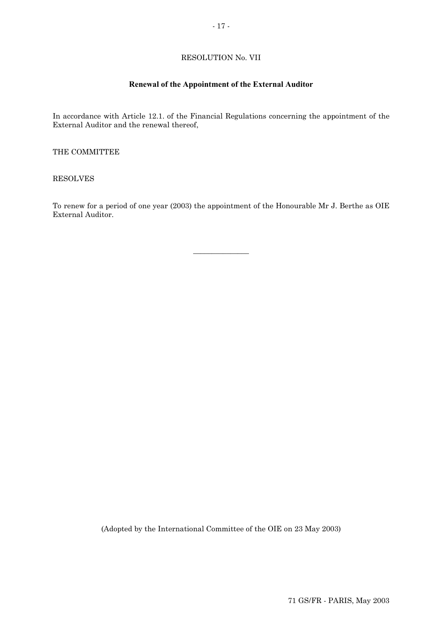# RESOLUTION No. VII

# **Renewal of the Appointment of the External Auditor**

In accordance with Article 12.1. of the Financial Regulations concerning the appointment of the External Auditor and the renewal thereof,

THE COMMITTEE

RESOLVES

To renew for a period of one year (2003) the appointment of the Honourable Mr J. Berthe as OIE External Auditor.

 $\overline{\phantom{a}}$  , where  $\overline{\phantom{a}}$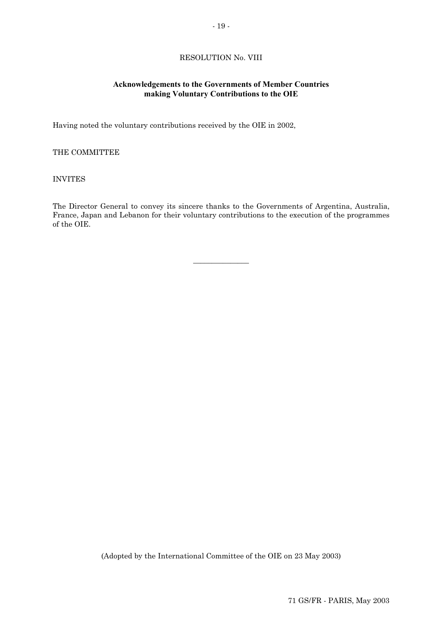# RESOLUTION No. VIII

# **Acknowledgements to the Governments of Member Countries making Voluntary Contributions to the OIE**

Having noted the voluntary contributions received by the OIE in 2002,

### THE COMMITTEE

# INVITES

The Director General to convey its sincere thanks to the Governments of Argentina, Australia, France, Japan and Lebanon for their voluntary contributions to the execution of the programmes of the OIE.

 $\overline{\phantom{a}}$  , where  $\overline{\phantom{a}}$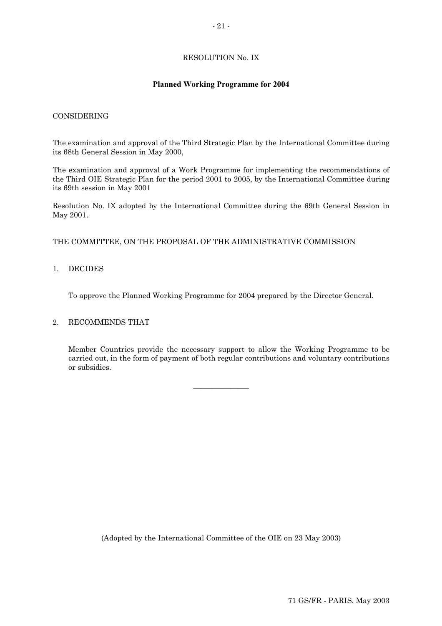# RESOLUTION No. IX

# **Planned Working Programme for 2004**

### CONSIDERING

The examination and approval of the Third Strategic Plan by the International Committee during its 68th General Session in May 2000,

The examination and approval of a Work Programme for implementing the recommendations of the Third OIE Strategic Plan for the period 2001 to 2005, by the International Committee during its 69th session in May 2001

Resolution No. IX adopted by the International Committee during the 69th General Session in May 2001.

THE COMMITTEE, ON THE PROPOSAL OF THE ADMINISTRATIVE COMMISSION

### 1. DECIDES

To approve the Planned Working Programme for 2004 prepared by the Director General.

### 2. RECOMMENDS THAT

Member Countries provide the necessary support to allow the Working Programme to be carried out, in the form of payment of both regular contributions and voluntary contributions or subsidies.

 $\overline{\phantom{a}}$  , where  $\overline{\phantom{a}}$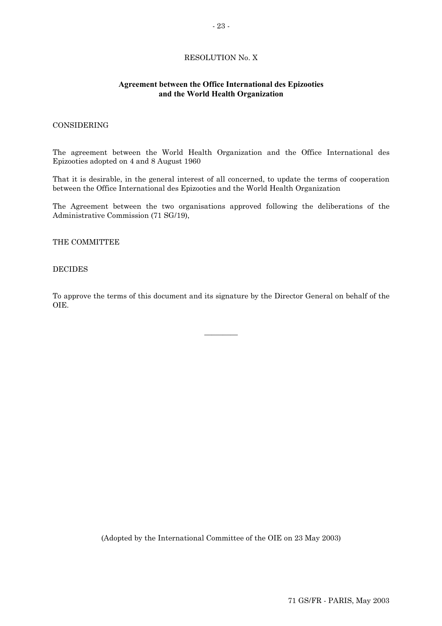# RESOLUTION No. X

### **Agreement between the Office International des Epizooties and the World Health Organization**

### CONSIDERING

The agreement between the World Health Organization and the Office International des Epizooties adopted on 4 and 8 August 1960

That it is desirable, in the general interest of all concerned, to update the terms of cooperation between the Office International des Epizooties and the World Health Organization

The Agreement between the two organisations approved following the deliberations of the Administrative Commission (71 SG/19),

THE COMMITTEE

#### DECIDES

To approve the terms of this document and its signature by the Director General on behalf of the OIE.

 $\overline{\phantom{a}}$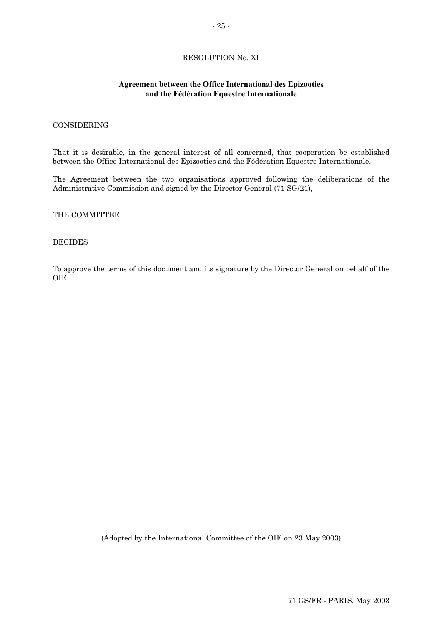# RESOLUTION No. XI

### **Agreement between the Office International des Epizooties and the Fédération Equestre Internationale**

### CONSIDERING

That it is desirable, in the general interest of all concerned, that cooperation be established between the Office International des Epizooties and the Fédération Equestre Internationale.

The Agreement between the two organisations approved following the deliberations of the Administrative Commission and signed by the Director General (71 SG/21),

THE COMMITTEE

#### DECIDES

To approve the terms of this document and its signature by the Director General on behalf of the OIE.

 $\overline{\phantom{a}}$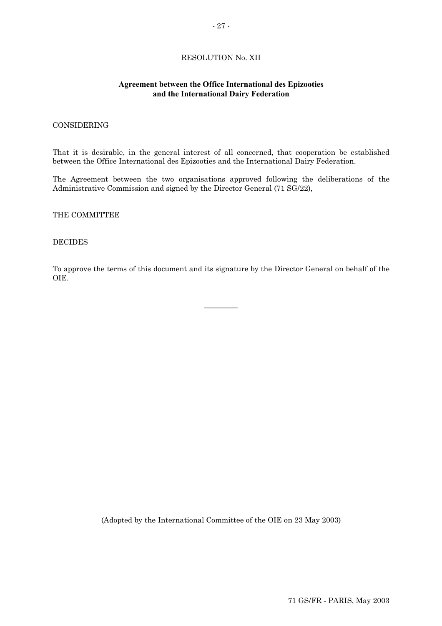# RESOLUTION No. XII

### **Agreement between the Office International des Epizooties and the International Dairy Federation**

### CONSIDERING

That it is desirable, in the general interest of all concerned, that cooperation be established between the Office International des Epizooties and the International Dairy Federation.

The Agreement between the two organisations approved following the deliberations of the Administrative Commission and signed by the Director General (71 SG/22),

THE COMMITTEE

#### DECIDES

To approve the terms of this document and its signature by the Director General on behalf of the OIE.

 $\overline{\phantom{a}}$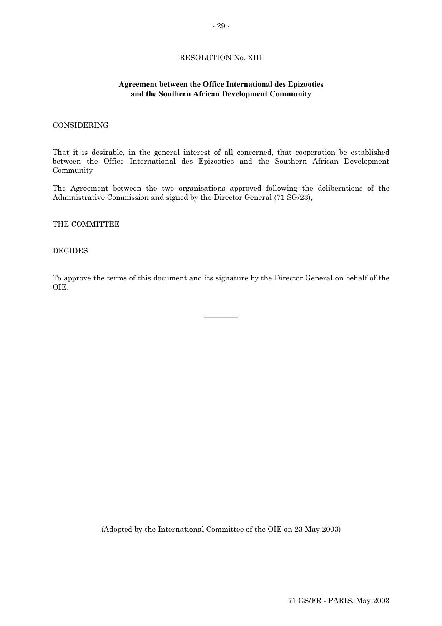# RESOLUTION No. XIII

### **Agreement between the Office International des Epizooties and the Southern African Development Community**

### CONSIDERING

That it is desirable, in the general interest of all concerned, that cooperation be established between the Office International des Epizooties and the Southern African Development Community

The Agreement between the two organisations approved following the deliberations of the Administrative Commission and signed by the Director General (71 SG/23),

#### THE COMMITTEE

#### DECIDES

To approve the terms of this document and its signature by the Director General on behalf of the OIE.

 $\overline{\phantom{a}}$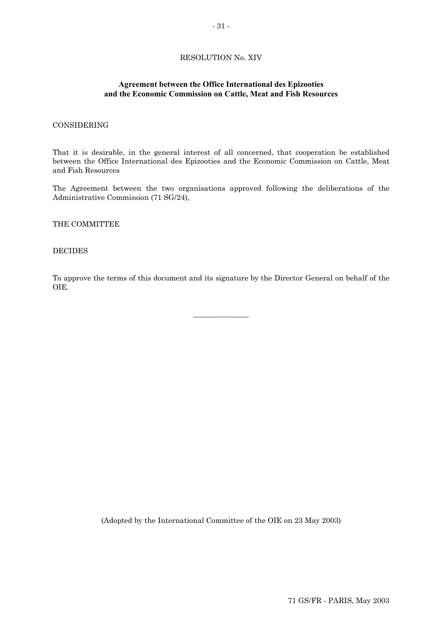### RESOLUTION No. XIV

### **Agreement between the Office International des Epizooties and the Economic Commission on Cattle, Meat and Fish Resources**

### CONSIDERING

That it is desirable, in the general interest of all concerned, that cooperation be established between the Office International des Epizooties and the Economic Commission on Cattle, Meat and Fish Resources

The Agreement between the two organisations approved following the deliberations of the Administrative Commission (71 SG/24),

THE COMMITTEE

#### DECIDES

To approve the terms of this document and its signature by the Director General on behalf of the OIE.

 $\overline{\phantom{a}}$  , where  $\overline{\phantom{a}}$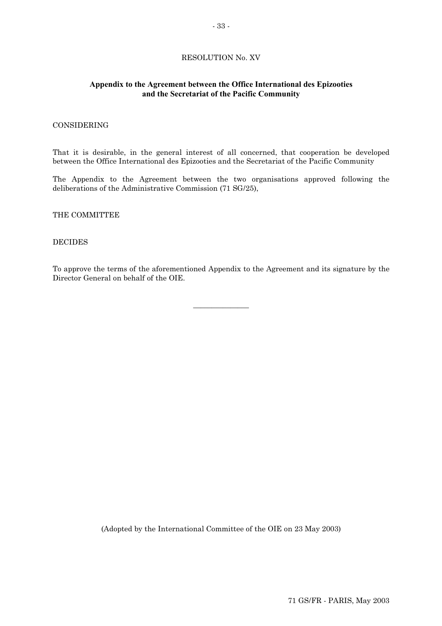# RESOLUTION No. XV

# **Appendix to the Agreement between the Office International des Epizooties and the Secretariat of the Pacific Community**

### CONSIDERING

That it is desirable, in the general interest of all concerned, that cooperation be developed between the Office International des Epizooties and the Secretariat of the Pacific Community

The Appendix to the Agreement between the two organisations approved following the deliberations of the Administrative Commission (71 SG/25),

THE COMMITTEE

### DECIDES

To approve the terms of the aforementioned Appendix to the Agreement and its signature by the Director General on behalf of the OIE.

 $\overline{\phantom{a}}$  , where  $\overline{\phantom{a}}$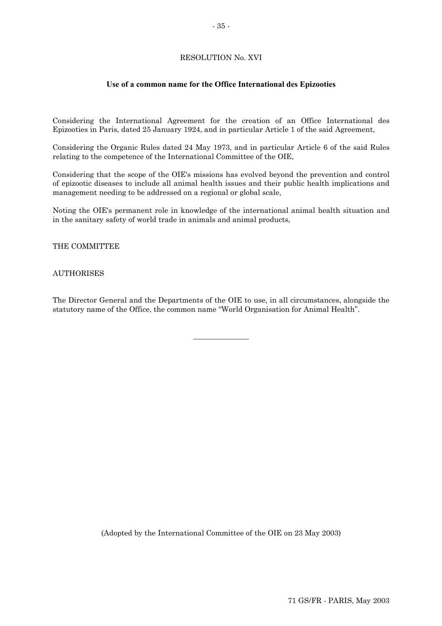# RESOLUTION No. XVI

# **Use of a common name for the Office International des Epizooties**

Considering the International Agreement for the creation of an Office International des Epizooties in Paris, dated 25 January 1924, and in particular Article 1 of the said Agreement,

Considering the Organic Rules dated 24 May 1973, and in particular Article 6 of the said Rules relating to the competence of the International Committee of the OIE,

Considering that the scope of the OIE's missions has evolved beyond the prevention and control of epizootic diseases to include all animal health issues and their public health implications and management needing to be addressed on a regional or global scale,

Noting the OIE's permanent role in knowledge of the international animal health situation and in the sanitary safety of world trade in animals and animal products,

THE COMMITTEE

### AUTHORISES

The Director General and the Departments of the OIE to use, in all circumstances, alongside the statutory name of the Office, the common name "World Organisation for Animal Health".

 $\overline{\phantom{a}}$  , where  $\overline{\phantom{a}}$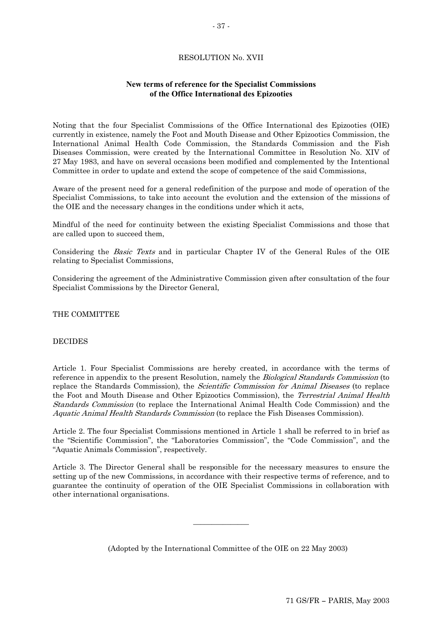# RESOLUTION No. XVII

# **New terms of reference for the Specialist Commissions of the Office International des Epizooties**

Noting that the four Specialist Commissions of the Office International des Epizooties (OIE) currently in existence, namely the Foot and Mouth Disease and Other Epizootics Commission, the International Animal Health Code Commission, the Standards Commission and the Fish Diseases Commission, were created by the International Committee in Resolution No. XIV of 27 May 1983, and have on several occasions been modified and complemented by the Intentional Committee in order to update and extend the scope of competence of the said Commissions,

Aware of the present need for a general redefinition of the purpose and mode of operation of the Specialist Commissions, to take into account the evolution and the extension of the missions of the OIE and the necessary changes in the conditions under which it acts,

Mindful of the need for continuity between the existing Specialist Commissions and those that are called upon to succeed them,

Considering the *Basic Texts* and in particular Chapter IV of the General Rules of the OIE relating to Specialist Commissions,

Considering the agreement of the Administrative Commission given after consultation of the four Specialist Commissions by the Director General,

THE COMMITTEE

# DECIDES

reference in appendix to the present Resolution, namely the *Biological Standards Commission* (to replace the Standards Commission), the *Scientific Commission for Animal Diseases* (to replace the Foot and Mouth Disease and Other Epizootics Commission), the *Terrestrial Animal Health Standards Commission* (to replace the International Animal Health Code Commission) and the Aquatic Animal Health Standards Commission (to replace the Fish Diseases Commission). Article 1. Four Specialist Commissions are hereby created, in accordance with the terms of

Article 2. The four Specialist Commissions mentioned in Article 1 shall be referred to in brief as the "Scientific Commission", the "Laboratories Commission", the "Code Commission", and the "Aquatic Animals Commission", respectively.

Article 3. The Director General shall be responsible for the necessary measures to ensure the setting up of the new Commissions, in accordance with their respective terms of reference, and to guarantee the continuity of operation of the OIE Specialist Commissions in collaboration with other international organisations.

 $\overline{\phantom{a}}$  , where  $\overline{\phantom{a}}$ 

(Adopted by the International Committee of the OIE on 22 May 2003)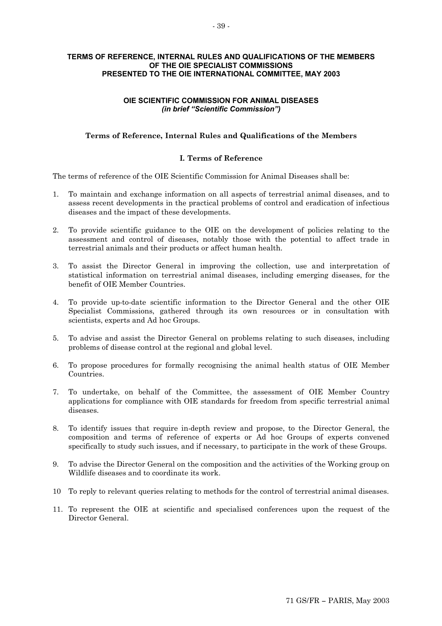# **TERMS OF REFERENCE, INTERNAL RULES AND QUALIFICATIONS OF THE MEMBERS OF THE OIE SPECIALIST COMMISSIONS PRESENTED TO THE OIE INTERNATIONAL COMMITTEE, MAY 2003**

# **OIE SCIENTIFIC COMMISSION FOR ANIMAL DISEASES**  *(in brief "Scientific Commission")*

# **Terms of Reference, Internal Rules and Qualifications of the Members**

# **I. Terms of Reference**

The terms of reference of the OIE Scientific Commission for Animal Diseases shall be:

- 1. To maintain and exchange information on all aspects of terrestrial animal diseases, and to assess recent developments in the practical problems of control and eradication of infectious diseases and the impact of these developments.
- 2. To provide scientific guidance to the OIE on the development of policies relating to the assessment and control of diseases, notably those with the potential to affect trade in terrestrial animals and their products or affect human health.
- 3. To assist the Director General in improving the collection, use and interpretation of statistical information on terrestrial animal diseases, including emerging diseases, for the benefit of OIE Member Countries.
- 4. To provide up-to-date scientific information to the Director General and the other OIE Specialist Commissions, gathered through its own resources or in consultation with scientists, experts and Ad hoc Groups.
- 5. To advise and assist the Director General on problems relating to such diseases, including problems of disease control at the regional and global level.
- 6. To propose procedures for formally recognising the animal health status of OIE Member Countries.
- 7. To undertake, on behalf of the Committee, the assessment of OIE Member Country applications for compliance with OIE standards for freedom from specific terrestrial animal diseases.
- 8. To identify issues that require in-depth review and propose, to the Director General, the composition and terms of reference of experts or Ad hoc Groups of experts convened specifically to study such issues, and if necessary, to participate in the work of these Groups.
- 9. To advise the Director General on the composition and the activities of the Working group on Wildlife diseases and to coordinate its work.
- 10 To reply to relevant queries relating to methods for the control of terrestrial animal diseases.
- 11. To represent the OIE at scientific and specialised conferences upon the request of the Director General.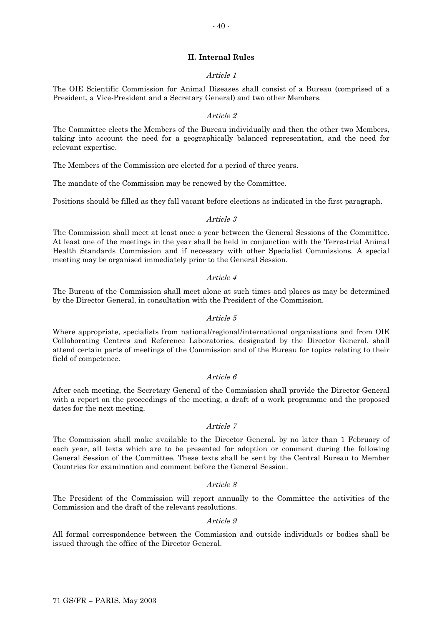## **II. Internal Rules**

## Article 1

The OIE Scientific Commission for Animal Diseases shall consist of a Bureau (comprised of a President, a Vice-President and a Secretary General) and two other Members.

### Article 2

The Committee elects the Members of the Bureau individually and then the other two Members, taking into account the need for a geographically balanced representation, and the need for relevant expertise.

The Members of the Commission are elected for a period of three years.

The mandate of the Commission may be renewed by the Committee.

Positions should be filled as they fall vacant before elections as indicated in the first paragraph.

#### Article 3

The Commission shall meet at least once a year between the General Sessions of the Committee. At least one of the meetings in the year shall be held in conjunction with the Terrestrial Animal Health Standards Commission and if necessary with other Specialist Commissions. A special meeting may be organised immediately prior to the General Session.

#### Article 4

The Bureau of the Commission shall meet alone at such times and places as may be determined by the Director General, in consultation with the President of the Commission.

#### Article 5

Where appropriate, specialists from national/regional/international organisations and from OIE Collaborating Centres and Reference Laboratories, designated by the Director General, shall attend certain parts of meetings of the Commission and of the Bureau for topics relating to their field of competence.

#### Article 6

After each meeting, the Secretary General of the Commission shall provide the Director General with a report on the proceedings of the meeting, a draft of a work programme and the proposed dates for the next meeting.

#### Article 7

The Commission shall make available to the Director General, by no later than 1 February of each year, all texts which are to be presented for adoption or comment during the following General Session of the Committee. These texts shall be sent by the Central Bureau to Member Countries for examination and comment before the General Session.

#### Article 8

The President of the Commission will report annually to the Committee the activities of the Commission and the draft of the relevant resolutions.

#### Article 9

All formal correspondence between the Commission and outside individuals or bodies shall be issued through the office of the Director General.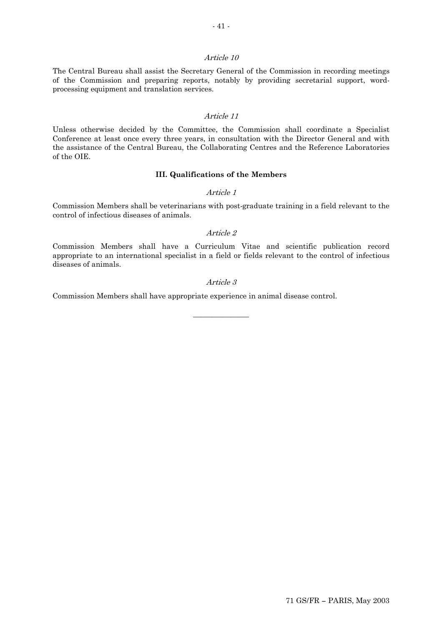The Central Bureau shall assist the Secretary General of the Commission in recording meetings of the Commission and preparing reports, notably by providing secretarial support, wordprocessing equipment and translation services.

### Article 11

Unless otherwise decided by the Committee, the Commission shall coordinate a Specialist Conference at least once every three years, in consultation with the Director General and with the assistance of the Central Bureau, the Collaborating Centres and the Reference Laboratories of the OIE.

## **III. Qualifications of the Members**

#### Article 1

Commission Members shall be veterinarians with post-graduate training in a field relevant to the control of infectious diseases of animals.

#### Article 2

Commission Members shall have a Curriculum Vitae and scientific publication record appropriate to an international specialist in a field or fields relevant to the control of infectious diseases of animals.

#### Article 3

 $\overline{\phantom{a}}$  , where  $\overline{\phantom{a}}$ 

Commission Members shall have appropriate experience in animal disease control.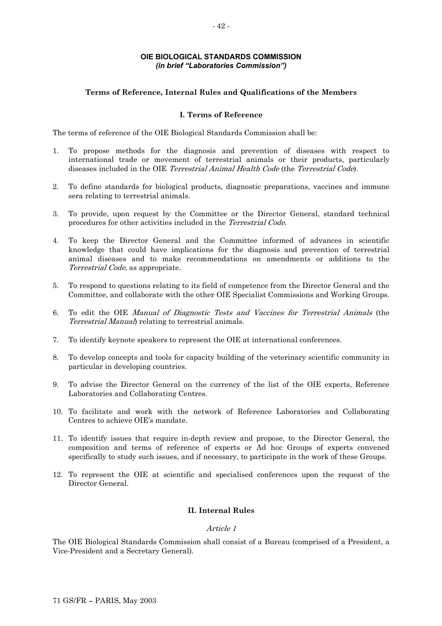# **OIE BIOLOGICAL STANDARDS COMMISSION**  *(in brief "Laboratories Commission")*

# **Terms of Reference, Internal Rules and Qualifications of the Members**

# **I. Terms of Reference**

The terms of reference of the OIE Biological Standards Commission shall be:

- 1. To propose methods for the diagnosis and prevention of diseases with respect to international trade or movement of terrestrial animals or their products, particularly diseases included in the OIE Terrestrial Animal Health Code (the Terrestrial Code).
- 2. To define standards for biological products, diagnostic preparations, vaccines and immune sera relating to terrestrial animals.
- procedures for other activities included in the *Terrestrial Code*. 3. To provide, upon request by the Committee or the Director General, standard technical
- Terrestrial Code, as appropriate. 4. To keep the Director General and the Committee informed of advances in scientific knowledge that could have implications for the diagnosis and prevention of terrestrial animal diseases and to make recommendations on amendments or additions to the
- 5. To respond to questions relating to its field of competence from the Director General and the Committee, and collaborate with the other OIE Specialist Commissions and Working Groups.
- 6. To edit the OIE *Manual of Diagnostic Tests and Vaccines for Terrestrial Animals* (the Terrestrial Manual) relating to terrestrial animals.
- 7. To identify keynote speakers to represent the OIE at international conferences.
- 8. To develop concepts and tools for capacity building of the veterinary scientific community in particular in developing countries.
- 9. To advise the Director General on the currency of the list of the OIE experts, Reference Laboratories and Collaborating Centres.
- 10. To facilitate and work with the network of Reference Laboratories and Collaborating Centres to achieve OIE's mandate.
- 11. To identify issues that require in-depth review and propose, to the Director General, the composition and terms of reference of experts or Ad hoc Groups of experts convened specifically to study such issues, and if necessary, to participate in the work of these Groups.
- 12. To represent the OIE at scientific and specialised conferences upon the request of the Director General.

# **II. Internal Rules**

### Article 1

The OIE Biological Standards Commission shall consist of a Bureau (comprised of a President, a Vice-President and a Secretary General).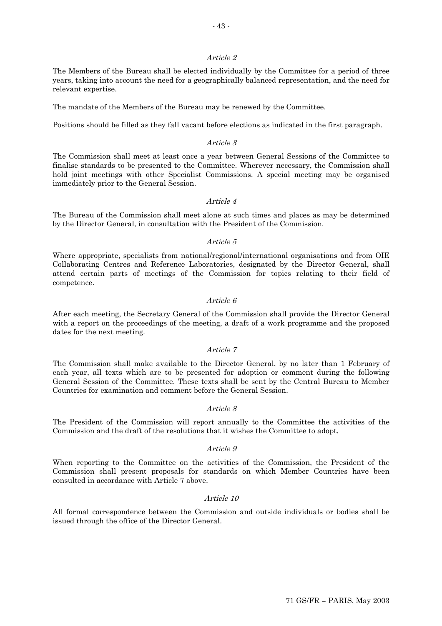The Members of the Bureau shall be elected individually by the Committee for a period of three years, taking into account the need for a geographically balanced representation, and the need for relevant expertise.

The mandate of the Members of the Bureau may be renewed by the Committee.

Positions should be filled as they fall vacant before elections as indicated in the first paragraph.

## Article 3

The Commission shall meet at least once a year between General Sessions of the Committee to finalise standards to be presented to the Committee. Wherever necessary, the Commission shall hold joint meetings with other Specialist Commissions. A special meeting may be organised immediately prior to the General Session.

### Article 4

The Bureau of the Commission shall meet alone at such times and places as may be determined by the Director General, in consultation with the President of the Commission.

### Article 5

Where appropriate, specialists from national/regional/international organisations and from OIE Collaborating Centres and Reference Laboratories, designated by the Director General, shall attend certain parts of meetings of the Commission for topics relating to their field of competence.

## Article 6

After each meeting, the Secretary General of the Commission shall provide the Director General with a report on the proceedings of the meeting, a draft of a work programme and the proposed dates for the next meeting.

### Article 7

The Commission shall make available to the Director General, by no later than 1 February of each year, all texts which are to be presented for adoption or comment during the following General Session of the Committee. These texts shall be sent by the Central Bureau to Member Countries for examination and comment before the General Session.

### Article 8

The President of the Commission will report annually to the Committee the activities of the Commission and the draft of the resolutions that it wishes the Committee to adopt.

### Article 9

When reporting to the Committee on the activities of the Commission, the President of the Commission shall present proposals for standards on which Member Countries have been consulted in accordance with Article 7 above.

### Article 10

All formal correspondence between the Commission and outside individuals or bodies shall be issued through the office of the Director General.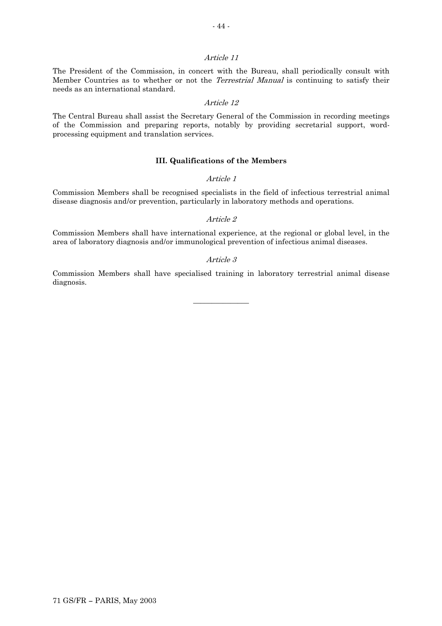Member Countries as to whether or not the *Terrestrial Manual* is continuing to satisfy their The President of the Commission, in concert with the Bureau, shall periodically consult with needs as an international standard.

### Article 12

The Central Bureau shall assist the Secretary General of the Commission in recording meetings of the Commission and preparing reports, notably by providing secretarial support, wordprocessing equipment and translation services.

## **III. Qualifications of the Members**

#### Article 1

Commission Members shall be recognised specialists in the field of infectious terrestrial animal disease diagnosis and/or prevention, particularly in laboratory methods and operations.

#### Article 2

Commission Members shall have international experience, at the regional or global level, in the area of laboratory diagnosis and/or immunological prevention of infectious animal diseases.

### Article 3

Commission Members shall have specialised training in laboratory terrestrial animal disease diagnosis.

 $\overline{\phantom{a}}$  , where  $\overline{\phantom{a}}$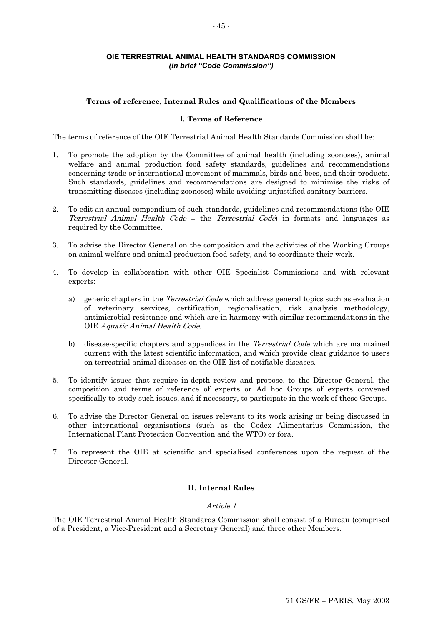# **OIE TERRESTRIAL ANIMAL HEALTH STANDARDS COMMISSION**  *(in brief "Code Commission")*

## **Terms of reference, Internal Rules and Qualifications of the Members**

## **I. Terms of Reference**

The terms of reference of the OIE Terrestrial Animal Health Standards Commission shall be:

- 1. To promote the adoption by the Committee of animal health (including zoonoses), animal welfare and animal production food safety standards, guidelines and recommendations concerning trade or international movement of mammals, birds and bees, and their products. Such standards, guidelines and recommendations are designed to minimise the risks of transmitting diseases (including zoonoses) while avoiding unjustified sanitary barriers.
- 2. To edit an annual compendium of such standards, guidelines and recommendations (the OIE Terrestrial Animal Health Code – the Terrestrial Code) in formats and languages as required by the Committee.
- 3. To advise the Director General on the composition and the activities of the Working Groups on animal welfare and animal production food safety, and to coordinate their work.
- 4. To develop in collaboration with other OIE Specialist Commissions and with relevant experts:
	- a) generic chapters in the *Terrestrial Code* which address general topics such as evaluation OIE Aquatic Animal Health Code. of veterinary services, certification, regionalisation, risk analysis methodology, antimicrobial resistance and which are in harmony with similar recommendations in the
	- b) disease-specific chapters and appendices in the *Terrestrial Code* which are maintained current with the latest scientific information, and which provide clear guidance to users on terrestrial animal diseases on the OIE list of notifiable diseases.
- 5. To identify issues that require in-depth review and propose, to the Director General, the composition and terms of reference of experts or Ad hoc Groups of experts convened specifically to study such issues, and if necessary, to participate in the work of these Groups.
- 6. To advise the Director General on issues relevant to its work arising or being discussed in other international organisations (such as the Codex Alimentarius Commission, the International Plant Protection Convention and the WTO) or fora.
- 7. To represent the OIE at scientific and specialised conferences upon the request of the Director General.

# **II. Internal Rules**

### Article 1

The OIE Terrestrial Animal Health Standards Commission shall consist of a Bureau (comprised of a President, a Vice-President and a Secretary General) and three other Members.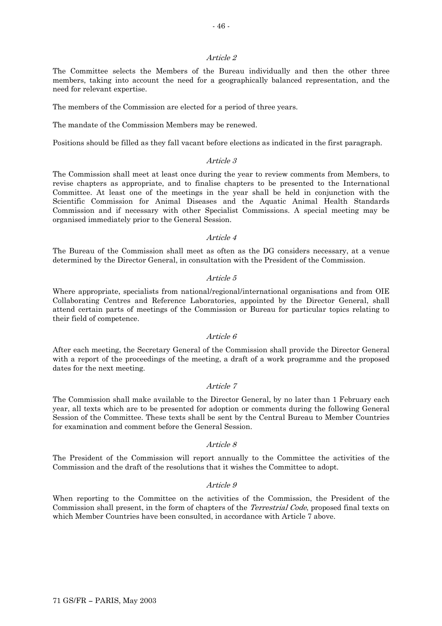The Committee selects the Members of the Bureau individually and then the other three members, taking into account the need for a geographically balanced representation, and the need for relevant expertise.

The members of the Commission are elected for a period of three years.

The mandate of the Commission Members may be renewed.

Positions should be filled as they fall vacant before elections as indicated in the first paragraph.

## Article 3

The Commission shall meet at least once during the year to review comments from Members, to revise chapters as appropriate, and to finalise chapters to be presented to the International Committee. At least one of the meetings in the year shall be held in conjunction with the Scientific Commission for Animal Diseases and the Aquatic Animal Health Standards Commission and if necessary with other Specialist Commissions. A special meeting may be organised immediately prior to the General Session.

## Article 4

The Bureau of the Commission shall meet as often as the DG considers necessary, at a venue determined by the Director General, in consultation with the President of the Commission.

### Article 5

Where appropriate, specialists from national/regional/international organisations and from OIE Collaborating Centres and Reference Laboratories, appointed by the Director General, shall attend certain parts of meetings of the Commission or Bureau for particular topics relating to their field of competence.

### Article 6

After each meeting, the Secretary General of the Commission shall provide the Director General with a report of the proceedings of the meeting, a draft of a work programme and the proposed dates for the next meeting.

### Article 7

The Commission shall make available to the Director General, by no later than 1 February each year, all texts which are to be presented for adoption or comments during the following General Session of the Committee. These texts shall be sent by the Central Bureau to Member Countries for examination and comment before the General Session.

### Article 8

The President of the Commission will report annually to the Committee the activities of the Commission and the draft of the resolutions that it wishes the Committee to adopt.

### Article 9

Commission shall present, in the form of chapters of the *Terrestrial Code*, proposed final texts on When reporting to the Committee on the activities of the Commission, the President of the which Member Countries have been consulted, in accordance with Article 7 above.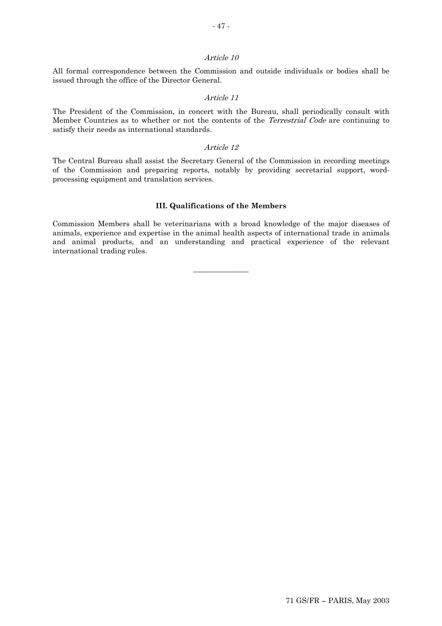All formal correspondence between the Commission and outside individuals or bodies shall be issued through the office of the Director General.

#### Article 11

Member Countries as to whether or not the contents of the *Terrestrial Code* are continuing to The President of the Commission, in concert with the Bureau, shall periodically consult with satisfy their needs as international standards.

#### Article 12

The Central Bureau shall assist the Secretary General of the Commission in recording meetings of the Commission and preparing reports, notably by providing secretarial support, wordprocessing equipment and translation services.

# **III. Qualifications of the Members**

Commission Members shall be veterinarians with a broad knowledge of the major diseases of animals, experience and expertise in the animal health aspects of international trade in animals and animal products, and an understanding and practical experience of the relevant international trading rules.

 $\overline{\phantom{a}}$  , where  $\overline{\phantom{a}}$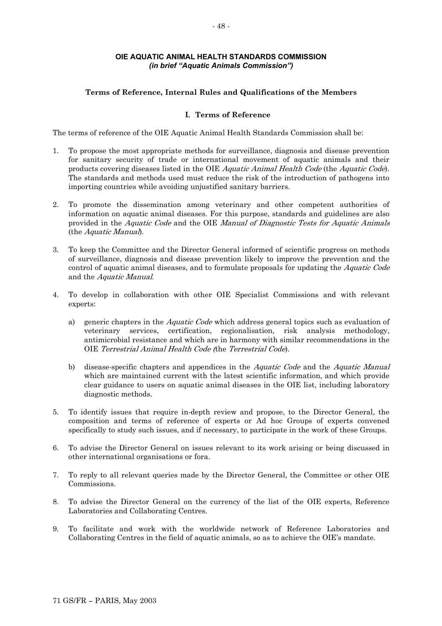# **OIE AQUATIC ANIMAL HEALTH STANDARDS COMMISSION** *(in brief "Aquatic Animals Commission")*

# **Terms of Reference, Internal Rules and Qualifications of the Members**

## **I. Terms of Reference**

The terms of reference of the OIE Aquatic Animal Health Standards Commission shall be:

- 1. To propose the most appropriate methods for surveillance, diagnosis and disease prevention for sanitary security of trade or international movement of aquatic animals and their products covering diseases listed in the OIE Aquatic Animal Health Code (the Aquatic Code). The standards and methods used must reduce the risk of the introduction of pathogens into importing countries while avoiding unjustified sanitary barriers.
- 2. To promote the dissemination among veterinary and other competent authorities of information on aquatic animal diseases. For this purpose, standards and guidelines are also provided in the Aquatic Code and the OIE Manual of Diagnostic Tests for Aquatic Animals (the Aquatic Manual).
- control of aquatic animal diseases, and to formulate proposals for updating the *Aquatic Code* 3. To keep the Committee and the Director General informed of scientific progress on methods of surveillance, diagnosis and disease prevention likely to improve the prevention and the and the Aquatic Manual.
- 4. To develop in collaboration with other OIE Specialist Commissions and with relevant experts:
	- a) generic chapters in the *Aquatic Code* which address general topics such as evaluation of OIE Terrestrial Animal Health Code (the Terrestrial Code). veterinary services, certification, regionalisation, risk analysis methodology, antimicrobial resistance and which are in harmony with similar recommendations in the
	- b) disease-specific chapters and appendices in the *Aquatic Code* and the *Aquatic Manual* which are maintained current with the latest scientific information, and which provide clear guidance to users on aquatic animal diseases in the OIE list, including laboratory diagnostic methods.
- 5. To identify issues that require in-depth review and propose, to the Director General, the composition and terms of reference of experts or Ad hoc Groups of experts convened specifically to study such issues, and if necessary, to participate in the work of these Groups.
- 6. To advise the Director General on issues relevant to its work arising or being discussed in other international organisations or fora.
- 7. To reply to all relevant queries made by the Director General, the Committee or other OIE Commissions.
- 8. To advise the Director General on the currency of the list of the OIE experts, Reference Laboratories and Collaborating Centres.
- 9. To facilitate and work with the worldwide network of Reference Laboratories and Collaborating Centres in the field of aquatic animals, so as to achieve the OIE's mandate.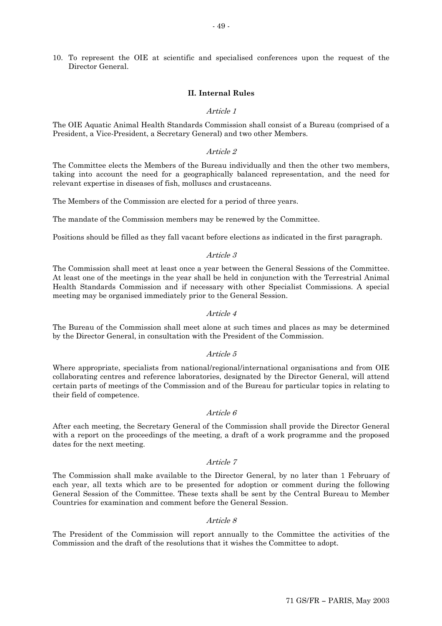## 10. To represent the OIE at scientific and specialised conferences upon the request of the Director General.

### **II. Internal Rules**

### Article 1

The OIE Aquatic Animal Health Standards Commission shall consist of a Bureau (comprised of a President, a Vice-President, a Secretary General) and two other Members.

#### Article 2

The Committee elects the Members of the Bureau individually and then the other two members, taking into account the need for a geographically balanced representation, and the need for relevant expertise in diseases of fish, molluscs and crustaceans.

The Members of the Commission are elected for a period of three years.

The mandate of the Commission members may be renewed by the Committee.

Positions should be filled as they fall vacant before elections as indicated in the first paragraph.

#### Article 3

The Commission shall meet at least once a year between the General Sessions of the Committee. At least one of the meetings in the year shall be held in conjunction with the Terrestrial Animal Health Standards Commission and if necessary with other Specialist Commissions. A special meeting may be organised immediately prior to the General Session.

#### Article 4

The Bureau of the Commission shall meet alone at such times and places as may be determined by the Director General, in consultation with the President of the Commission.

#### Article 5

Where appropriate, specialists from national/regional/international organisations and from OIE collaborating centres and reference laboratories, designated by the Director General, will attend certain parts of meetings of the Commission and of the Bureau for particular topics in relating to their field of competence.

#### Article 6

After each meeting, the Secretary General of the Commission shall provide the Director General with a report on the proceedings of the meeting, a draft of a work programme and the proposed dates for the next meeting.

#### Article 7

The Commission shall make available to the Director General, by no later than 1 February of each year, all texts which are to be presented for adoption or comment during the following General Session of the Committee. These texts shall be sent by the Central Bureau to Member Countries for examination and comment before the General Session.

#### Article 8

The President of the Commission will report annually to the Committee the activities of the Commission and the draft of the resolutions that it wishes the Committee to adopt.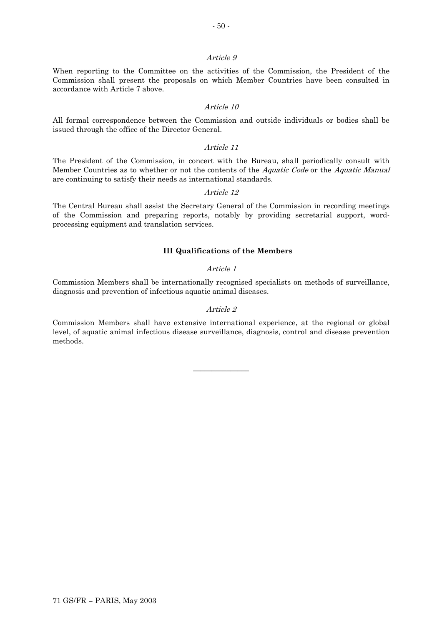When reporting to the Committee on the activities of the Commission, the President of the Commission shall present the proposals on which Member Countries have been consulted in accordance with Article 7 above.

#### Article 10

All formal correspondence between the Commission and outside individuals or bodies shall be issued through the office of the Director General.

#### Article 11

Member Countries as to whether or not the contents of the *Aquatic Code* or the *Aquatic Manual* The President of the Commission, in concert with the Bureau, shall periodically consult with are continuing to satisfy their needs as international standards.

#### Article 12

The Central Bureau shall assist the Secretary General of the Commission in recording meetings of the Commission and preparing reports, notably by providing secretarial support, wordprocessing equipment and translation services.

### **III Qualifications of the Members**

#### Article 1

Commission Members shall be internationally recognised specialists on methods of surveillance, diagnosis and prevention of infectious aquatic animal diseases.

#### Article 2

Commission Members shall have extensive international experience, at the regional or global level, of aquatic animal infectious disease surveillance, diagnosis, control and disease prevention methods.

 $\overline{\phantom{a}}$  , where  $\overline{\phantom{a}}$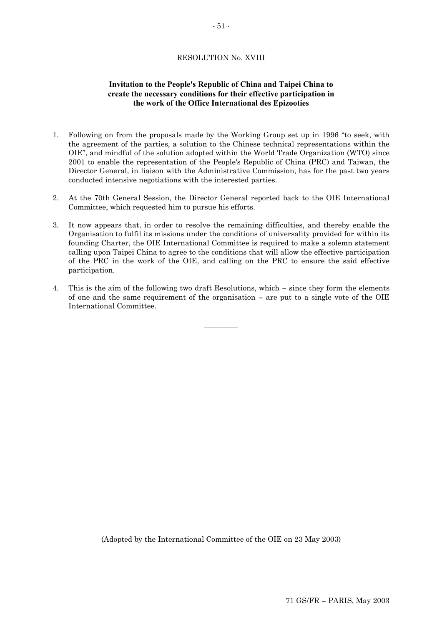# RESOLUTION No. XVIII

# **Invitation to the People's Republic of China and Taipei China to create the necessary conditions for their effective participation in the work of the Office International des Epizooties**

- 1. Following on from the proposals made by the Working Group set up in 1996 "to seek, with the agreement of the parties, a solution to the Chinese technical representations within the OIE", and mindful of the solution adopted within the World Trade Organization (WTO) since 2001 to enable the representation of the People's Republic of China (PRC) and Taiwan, the Director General, in liaison with the Administrative Commission, has for the past two years conducted intensive negotiations with the interested parties.
- 2. At the 70th General Session, the Director General reported back to the OIE International Committee, which requested him to pursue his efforts.
- 3. It now appears that, in order to resolve the remaining difficulties, and thereby enable the Organisation to fulfil its missions under the conditions of universality provided for within its founding Charter, the OIE International Committee is required to make a solemn statement calling upon Taipei China to agree to the conditions that will allow the effective participation of the PRC in the work of the OIE, and calling on the PRC to ensure the said effective participation.
- 4. This is the aim of the following two draft Resolutions, which since they form the elements of one and the same requirement of the organisation — are put to a single vote of the OIE International Committee.

 $\overline{\phantom{a}}$ 

(Adopted by the International Committee of the OIE on 23 May 2003)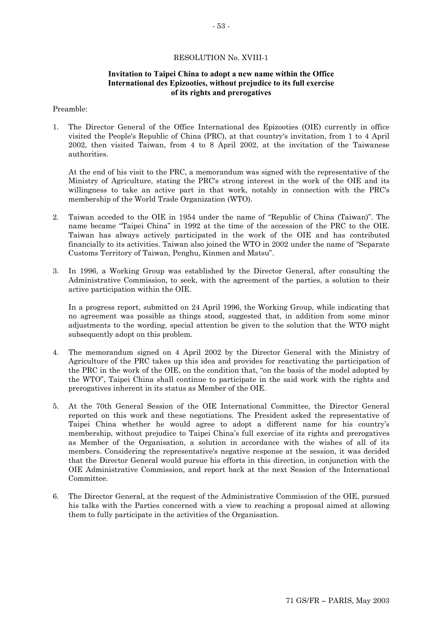# RESOLUTION No. XVIII-1

# **Invitation to Taipei China to adopt a new name within the Office International des Epizooties, without prejudice to its full exercise of its rights and prerogatives**

### Preamble:

1. The Director General of the Office International des Epizooties (OIE) currently in office visited the People's Republic of China (PRC), at that country's invitation, from 1 to 4 April 2002, then visited Taiwan, from 4 to 8 April 2002, at the invitation of the Taiwanese authorities.

At the end of his visit to the PRC, a memorandum was signed with the representative of the Ministry of Agriculture, stating the PRC's strong interest in the work of the OIE and its willingness to take an active part in that work, notably in connection with the PRC's membership of the World Trade Organization (WTO).

- 2. Taiwan acceded to the OIE in 1954 under the name of "Republic of China (Taiwan)". The name became "Taipei China" in 1992 at the time of the accession of the PRC to the OIE. Taiwan has always actively participated in the work of the OIE and has contributed financially to its activities. Taiwan also joined the WTO in 2002 under the name of "Separate Customs Territory of Taiwan, Penghu, Kinmen and Matsu".
- 3. In 1996, a Working Group was established by the Director General, after consulting the Administrative Commission, to seek, with the agreement of the parties, a solution to their active participation within the OIE.

In a progress report, submitted on 24 April 1996, the Working Group, while indicating that no agreement was possible as things stood, suggested that, in addition from some minor adjustments to the wording, special attention be given to the solution that the WTO might subsequently adopt on this problem.

- 4. The memorandum signed on 4 April 2002 by the Director General with the Ministry of Agriculture of the PRC takes up this idea and provides for reactivating the participation of the PRC in the work of the OIE, on the condition that, "on the basis of the model adopted by the WTO", Taipei China shall continue to participate in the said work with the rights and prerogatives inherent in its status as Member of the OIE.
- 5. At the 70th General Session of the OIE International Committee, the Director General reported on this work and these negotiations. The President asked the representative of Taipei China whether he would agree to adopt a different name for his country's membership, without prejudice to Taipei China's full exercise of its rights and prerogatives as Member of the Organisation, a solution in accordance with the wishes of all of its members. Considering the representative's negative response at the session, it was decided that the Director General would pursue his efforts in this direction, in conjunction with the OIE Administrative Commission, and report back at the next Session of the International Committee.
- 6. The Director General, at the request of the Administrative Commission of the OIE, pursued his talks with the Parties concerned with a view to reaching a proposal aimed at allowing them to fully participate in the activities of the Organisation.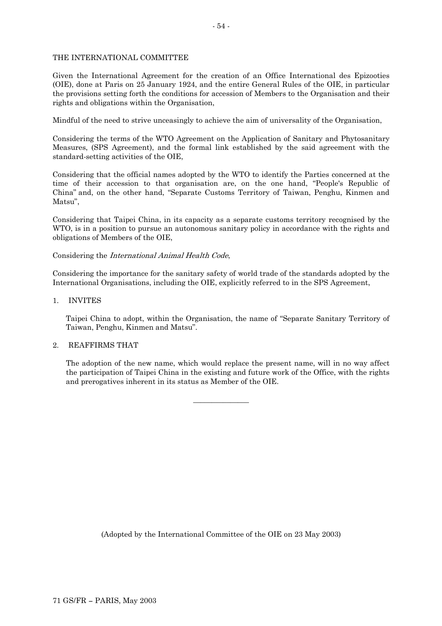# THE INTERNATIONAL COMMITTEE

Given the International Agreement for the creation of an Office International des Epizooties (OIE), done at Paris on 25 January 1924, and the entire General Rules of the OIE, in particular the provisions setting forth the conditions for accession of Members to the Organisation and their rights and obligations within the Organisation,

Mindful of the need to strive unceasingly to achieve the aim of universality of the Organisation,

Considering the terms of the WTO Agreement on the Application of Sanitary and Phytosanitary Measures, (SPS Agreement), and the formal link established by the said agreement with the standard-setting activities of the OIE,

Considering that the official names adopted by the WTO to identify the Parties concerned at the time of their accession to that organisation are, on the one hand, "People's Republic of China" and, on the other hand, "Separate Customs Territory of Taiwan, Penghu, Kinmen and Matsu",

Considering that Taipei China, in its capacity as a separate customs territory recognised by the WTO, is in a position to pursue an autonomous sanitary policy in accordance with the rights and obligations of Members of the OIE,

# Considering the International Animal Health Code,

Considering the importance for the sanitary safety of world trade of the standards adopted by the International Organisations, including the OIE, explicitly referred to in the SPS Agreement,

## 1. INVITES

Taipei China to adopt, within the Organisation, the name of "Separate Sanitary Territory of Taiwan, Penghu, Kinmen and Matsu".

# 2. REAFFIRMS THAT

The adoption of the new name, which would replace the present name, will in no way affect the participation of Taipei China in the existing and future work of the Office, with the rights and prerogatives inherent in its status as Member of the OIE.

 $\overline{\phantom{a}}$  , where  $\overline{\phantom{a}}$ 

(Adopted by the International Committee of the OIE on 23 May 2003)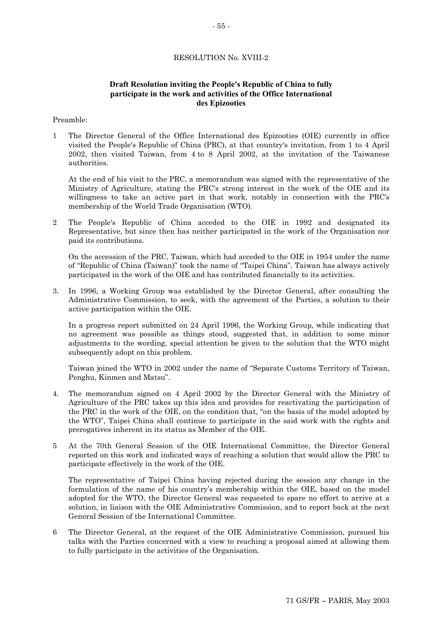# RESOLUTION No. XVIII-2

# **Draft Resolution inviting the People's Republic of China to fully participate in the work and activities of the Office International des Epizooties**

# Preamble:

1 The Director General of the Office International des Epizooties (OIE) currently in office visited the People's Republic of China (PRC), at that country's invitation, from 1 to 4 April 2002, then visited Taiwan, from 4 to 8 April 2002, at the invitation of the Taiwanese authorities.

At the end of his visit to the PRC, a memorandum was signed with the representative of the Ministry of Agriculture, stating the PRC's strong interest in the work of the OIE and its willingness to take an active part in that work, notably in connection with the PRC's membership of the World Trade Organisation (WTO).

2 The People's Republic of China acceded to the OIE in 1992 and designated its Representative, but since then has neither participated in the work of the Organisation nor paid its contributions.

On the accession of the PRC, Taiwan, which had acceded to the OIE in 1954 under the name of "Republic of China (Taiwan)" took the name of "Taipei China". Taiwan has always actively participated in the work of the OIE and has contributed financially to its activities.

3. In 1996, a Working Group was established by the Director General, after consulting the Administrative Commission, to seek, with the agreement of the Parties, a solution to their active participation within the OIE.

In a progress report submitted on 24 April 1996, the Working Group, while indicating that no agreement was possible as things stood, suggested that, in addition to some minor adjustments to the wording, special attention be given to the solution that the WTO might subsequently adopt on this problem.

Taiwan joined the WTO in 2002 under the name of "Separate Customs Territory of Taiwan, Penghu, Kinmen and Matsu".

- 4. The memorandum signed on 4 April 2002 by the Director General with the Ministry of Agriculture of the PRC takes up this idea and provides for reactivating the participation of the PRC in the work of the OIE, on the condition that, "on the basis of the model adopted by the WTO", Taipei China shall continue to participate in the said work with the rights and prerogatives inherent in its status as Member of the OIE.
- 5 At the 70th General Session of the OIE International Committee, the Director General reported on this work and indicated ways of reaching a solution that would allow the PRC to participate effectively in the work of the OIE.

The representative of Taipei China having rejected during the session any change in the formulation of the name of his country's membership within the OIE, based on the model adopted for the WTO, the Director General was requested to spare no effort to arrive at a solution, in liaison with the OIE Administrative Commission, and to report back at the next General Session of the International Committee.

6 The Director General, at the request of the OIE Administrative Commission, pursued his talks with the Parties concerned with a view to reaching a proposal aimed at allowing them to fully participate in the activities of the Organisation.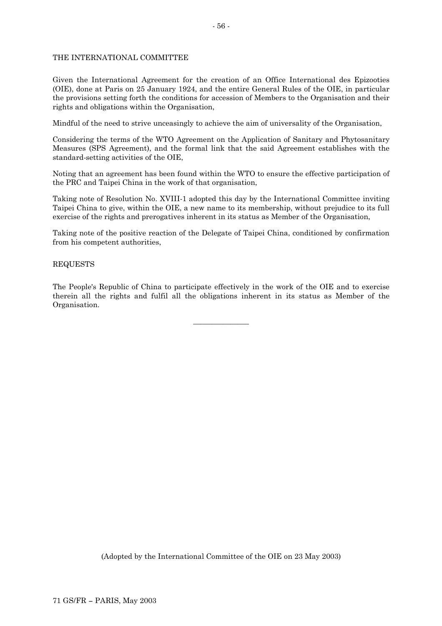# THE INTERNATIONAL COMMITTEE

Given the International Agreement for the creation of an Office International des Epizooties (OIE), done at Paris on 25 January 1924, and the entire General Rules of the OIE, in particular the provisions setting forth the conditions for accession of Members to the Organisation and their rights and obligations within the Organisation,

Mindful of the need to strive unceasingly to achieve the aim of universality of the Organisation,

Considering the terms of the WTO Agreement on the Application of Sanitary and Phytosanitary Measures (SPS Agreement), and the formal link that the said Agreement establishes with the standard-setting activities of the OIE,

Noting that an agreement has been found within the WTO to ensure the effective participation of the PRC and Taipei China in the work of that organisation,

Taking note of Resolution No. XVIII-1 adopted this day by the International Committee inviting Taipei China to give, within the OIE, a new name to its membership, without prejudice to its full exercise of the rights and prerogatives inherent in its status as Member of the Organisation,

Taking note of the positive reaction of the Delegate of Taipei China, conditioned by confirmation from his competent authorities,

# REQUESTS

The People's Republic of China to participate effectively in the work of the OIE and to exercise therein all the rights and fulfil all the obligations inherent in its status as Member of the Organisation.

 $\overline{\phantom{a}}$  , where  $\overline{\phantom{a}}$ 

(Adopted by the International Committee of the OIE on 23 May 2003)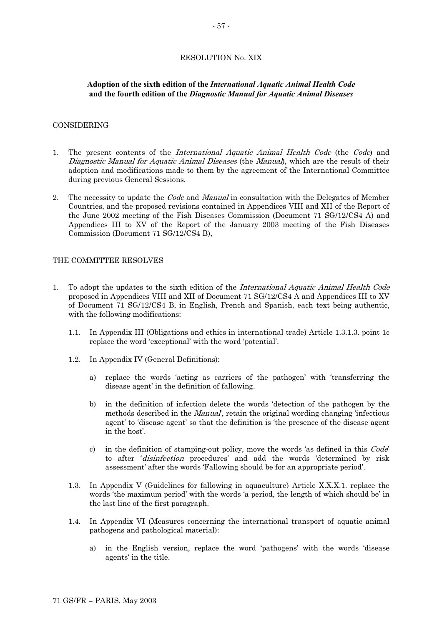# **Adoption of the sixth edition of the** *International Aquatic Animal Health Code*  **and the fourth edition of the** *Diagnostic Manual for Aquatic Animal Diseases*

# CONSIDERING

- 1. The present contents of the *International Aquatic Animal Health Code* (the *Code*) and Diagnostic Manual for Aquatic Animal Diseases (the Manual), which are the result of their adoption and modifications made to them by the agreement of the International Committee during previous General Sessions,
- 2. The necessity to update the *Code* and *Manual* in consultation with the Delegates of Member Countries, and the proposed revisions contained in Appendices VIII and XII of the Report of the June 2002 meeting of the Fish Diseases Commission (Document 71 SG/12/CS4 A) and Appendices III to XV of the Report of the January 2003 meeting of the Fish Diseases Commission (Document 71 SG/12/CS4 B),

# THE COMMITTEE RESOLVES

- 1. To adopt the updates to the sixth edition of the International Aquatic Animal Health Code proposed in Appendices VIII and XII of Document 71 SG/12/CS4 A and Appendices III to XV of Document 71 SG/12/CS4 B, in English, French and Spanish, each text being authentic, with the following modifications:
	- 1.1. In Appendix III (Obligations and ethics in international trade) Article 1.3.1.3. point 1c replace the word 'exceptional' with the word 'potential'.
	- 1.2. In Appendix IV (General Definitions):
		- a) replace the words 'acting as carriers of the pathogen' with 'transferring the disease agent' in the definition of fallowing.
		- b) in the definition of infection delete the words 'detection of the pathogen by the methods described in the *Manual*, retain the original wording changing 'infectious agent' to 'disease agent' so that the definition is 'the presence of the disease agent in the host'.
		- c) in the definition of stamping-out policy, move the words 'as defined in this  $Code'$ to after 'disinfection procedures' and add the words 'determined by risk assessment' after the words 'Fallowing should be for an appropriate period'.
	- 1.3. In Appendix V (Guidelines for fallowing in aquaculture) Article X.X.X.1. replace the words 'the maximum period' with the words 'a period, the length of which should be' in the last line of the first paragraph.
	- 1.4. In Appendix VI (Measures concerning the international transport of aquatic animal pathogens and pathological material):
		- a) in the English version, replace the word 'pathogens' with the words 'disease agents' in the title.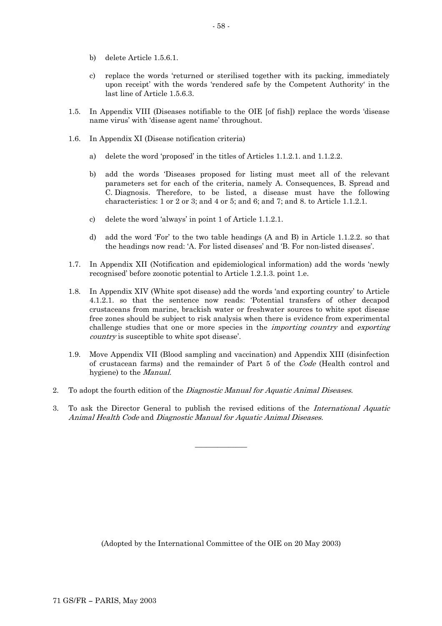- b) delete Article 1.5.6.1.
- c) replace the words 'returned or sterilised together with its packing, immediately upon receipt' with the words 'rendered safe by the Competent Authority' in the last line of Article 1.5.6.3.
- 1.5. In Appendix VIII (Diseases notifiable to the OIE [of fish]) replace the words 'disease name virus' with 'disease agent name' throughout.
- 1.6. In Appendix XI (Disease notification criteria)
	- a) delete the word 'proposed' in the titles of Articles 1.1.2.1. and 1.1.2.2.
	- b) add the words 'Diseases proposed for listing must meet all of the relevant parameters set for each of the criteria, namely A. Consequences, B. Spread and C. Diagnosis. Therefore, to be listed, a disease must have the following characteristics: 1 or 2 or 3; and 4 or 5; and 6; and 7; and 8. to Article 1.1.2.1.
	- c) delete the word 'always' in point 1 of Article 1.1.2.1.
	- d) add the word 'For' to the two table headings (A and B) in Article 1.1.2.2. so that the headings now read: 'A. For listed diseases' and 'B. For non-listed diseases'.
- 1.7. In Appendix XII (Notification and epidemiological information) add the words 'newly recognised' before zoonotic potential to Article 1.2.1.3. point 1.e.
- 1.8. In Appendix XIV (White spot disease) add the words 'and exporting country' to Article 4.1.2.1. so that the sentence now reads: 'Potential transfers of other decapod crustaceans from marine, brackish water or freshwater sources to white spot disease free zones should be subject to risk analysis when there is evidence from experimental challenge studies that one or more species in the *importing country* and *exporting* country is susceptible to white spot disease'.
- 1.9. Move Appendix VII (Blood sampling and vaccination) and Appendix XIII (disinfection of crustacean farms) and the remainder of Part 5 of the Code (Health control and hygiene) to the Manual.
- 2. To adopt the fourth edition of the *Diagnostic Manual for Aquatic Animal Diseases*.
- Animal Health Code and Diagnostic Manual for Aquatic Animal Diseases. 3. To ask the Director General to publish the revised editions of the International Aquatic

\_\_\_\_\_\_\_\_\_\_\_\_\_\_

(Adopted by the International Committee of the OIE on 20 May 2003)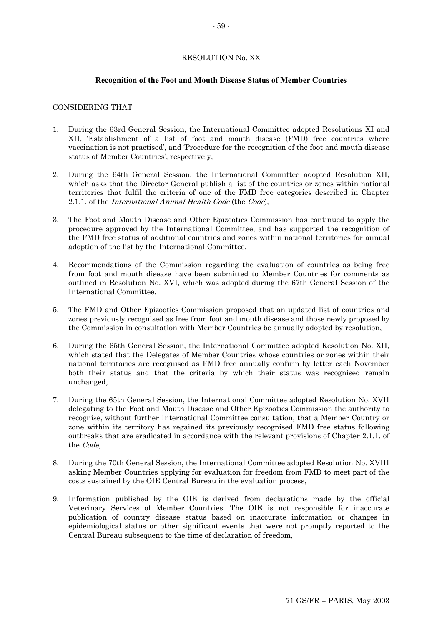# RESOLUTION No. XX

# **Recognition of the Foot and Mouth Disease Status of Member Countries**

# CONSIDERING THAT

- 1. During the 63rd General Session, the International Committee adopted Resolutions XI and XII, 'Establishment of a list of foot and mouth disease (FMD) free countries where vaccination is not practised', and 'Procedure for the recognition of the foot and mouth disease status of Member Countries', respectively,
- 2. During the 64th General Session, the International Committee adopted Resolution XII, which asks that the Director General publish a list of the countries or zones within national territories that fulfil the criteria of one of the FMD free categories described in Chapter 2.1.1. of the International Animal Health Code (the Code),
- 3. The Foot and Mouth Disease and Other Epizootics Commission has continued to apply the procedure approved by the International Committee, and has supported the recognition of the FMD free status of additional countries and zones within national territories for annual adoption of the list by the International Committee,
- 4. Recommendations of the Commission regarding the evaluation of countries as being free from foot and mouth disease have been submitted to Member Countries for comments as outlined in Resolution No. XVI, which was adopted during the 67th General Session of the International Committee,
- 5. The FMD and Other Epizootics Commission proposed that an updated list of countries and zones previously recognised as free from foot and mouth disease and those newly proposed by the Commission in consultation with Member Countries be annually adopted by resolution,
- 6. During the 65th General Session, the International Committee adopted Resolution No. XII, which stated that the Delegates of Member Countries whose countries or zones within their national territories are recognised as FMD free annually confirm by letter each November both their status and that the criteria by which their status was recognised remain unchanged,
- 7. During the 65th General Session, the International Committee adopted Resolution No. XVII delegating to the Foot and Mouth Disease and Other Epizootics Commission the authority to recognise, without further International Committee consultation, that a Member Country or zone within its territory has regained its previously recognised FMD free status following outbreaks that are eradicated in accordance with the relevant provisions of Chapter 2.1.1. of the Code,
- 8. During the 70th General Session, the International Committee adopted Resolution No. XVIII asking Member Countries applying for evaluation for freedom from FMD to meet part of the costs sustained by the OIE Central Bureau in the evaluation process,
- 9. Information published by the OIE is derived from declarations made by the official Veterinary Services of Member Countries. The OIE is not responsible for inaccurate publication of country disease status based on inaccurate information or changes in epidemiological status or other significant events that were not promptly reported to the Central Bureau subsequent to the time of declaration of freedom,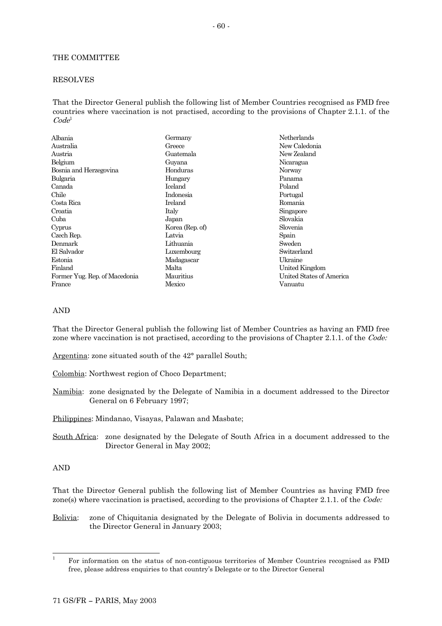# THE COMMITTEE

# RESOLVES

That the Director General publish the following list of Member Countries recognised as FMD free countries where vaccination is not practised, according to the provisions of Chapter 2.1.1. of the  $Code<sup>1</sup>$  $Code<sup>1</sup>$  $Code<sup>1</sup>$ 

| Albania                       | Germany                 | Netherlands              |
|-------------------------------|-------------------------|--------------------------|
| Australia                     | New Caledonia<br>Greece |                          |
| Austria                       | Guatemala               | New Zealand              |
| Belgium                       | Guyana                  | Nicaragua                |
| Bosnia and Herzegovina        | Honduras                | Norway                   |
| Bulgaria                      | Hungary                 | Panama                   |
| Canada                        | Iceland                 | Poland                   |
| Chile                         | Indonesia               | Portugal                 |
| Costa Rica                    | Ireland                 | Romania                  |
| Croatia                       | Italy                   | Singapore                |
| Cuba                          | Japan                   | Slovakia                 |
| Cyprus                        | Korea (Rep. of)         | Slovenia                 |
| Czech Rep.                    | Latvia                  | Spain                    |
| Denmark                       | Lithuania               | Sweden                   |
| El Salvador                   | Luxembourg              | Switzerland              |
| Estonia                       | Madagascar              | Ukraine                  |
| Finland                       | Malta                   | United Kingdom           |
| Former Yug. Rep. of Macedonia | Mauritius               | United States of America |
| France                        | Mexico                  | Vanuatu                  |

## AND

That the Director General publish the following list of Member Countries as having an FMD free zone where vaccination is not practised, according to the provisions of Chapter 2.1.1. of the Code:

Argentina: zone situated south of the 42° parallel South;

Colombia: Northwest region of Choco Department;

Namibia: zone designated by the Delegate of Namibia in a document addressed to the Director General on 6 February 1997;

Philippines: Mindanao, Visayas, Palawan and Masbate;

South Africa: zone designated by the Delegate of South Africa in a document addressed to the Director General in May 2002;

# AND

That the Director General publish the following list of Member Countries as having FMD free zone(s) where vaccination is practised, according to the provisions of Chapter 2.1.1. of the Code:

Bolivia: zone of Chiquitania designated by the Delegate of Bolivia in documents addressed to the Director General in January 2003;

<span id="page-59-0"></span><sup>|&</sup>lt;br>|<br>|  $F$ <sup>1</sup> For information on the status of non-contiguous territories of Member Countries recognised as FMD free, please address enquiries to that country's Delegate or to the Director General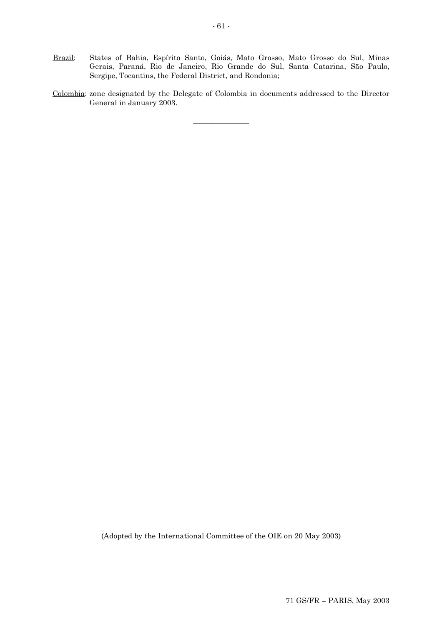- Brazil: States of Bahia, Espírito Santo, Goiás, Mato Grosso, Mato Grosso do Sul, Minas Gerais, Paraná, Rio de Janeiro, Rio Grande do Sul, Santa Catarina, São Paulo, Sergipe, Tocantins, the Federal District, and Rondonia;
- Colombia: zone designated by the Delegate of Colombia in documents addressed to the Director General in January 2003.

 $\overline{\phantom{a}}$  , where  $\overline{\phantom{a}}$ 

(Adopted by the International Committee of the OIE on 20 May 2003)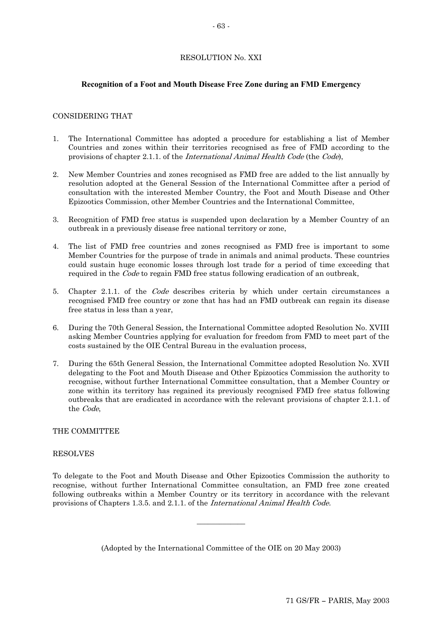# RESOLUTION No. XXI

# **Recognition of a Foot and Mouth Disease Free Zone during an FMD Emergency**

# CONSIDERING THAT

- 1. The International Committee has adopted a procedure for establishing a list of Member Countries and zones within their territories recognised as free of FMD according to the provisions of chapter 2.1.1. of the International Animal Health Code (the Code),
- 2. New Member Countries and zones recognised as FMD free are added to the list annually by resolution adopted at the General Session of the International Committee after a period of consultation with the interested Member Country, the Foot and Mouth Disease and Other Epizootics Commission, other Member Countries and the International Committee,
- 3. Recognition of FMD free status is suspended upon declaration by a Member Country of an outbreak in a previously disease free national territory or zone,
- 4. The list of FMD free countries and zones recognised as FMD free is important to some Member Countries for the purpose of trade in animals and animal products. These countries could sustain huge economic losses through lost trade for a period of time exceeding that required in the Code to regain FMD free status following eradication of an outbreak,
- 5. Chapter 2.1.1. of the Code describes criteria by which under certain circumstances a recognised FMD free country or zone that has had an FMD outbreak can regain its disease free status in less than a year,
- 6. During the 70th General Session, the International Committee adopted Resolution No. XVIII asking Member Countries applying for evaluation for freedom from FMD to meet part of the costs sustained by the OIE Central Bureau in the evaluation process,
- 7. During the 65th General Session, the International Committee adopted Resolution No. XVII delegating to the Foot and Mouth Disease and Other Epizootics Commission the authority to recognise, without further International Committee consultation, that a Member Country or zone within its territory has regained its previously recognised FMD free status following outbreaks that are eradicated in accordance with the relevant provisions of chapter 2.1.1. of the Code,

# THE COMMITTEE

# RESOLVES

provisions of Chapters 1.3.5. and 2.1.1. of the *International Animal Health Code*. To delegate to the Foot and Mouth Disease and Other Epizootics Commission the authority to recognise, without further International Committee consultation, an FMD free zone created following outbreaks within a Member Country or its territory in accordance with the relevant

(Adopted by the International Committee of the OIE on 20 May 2003)

\_\_\_\_\_\_\_\_\_\_\_\_\_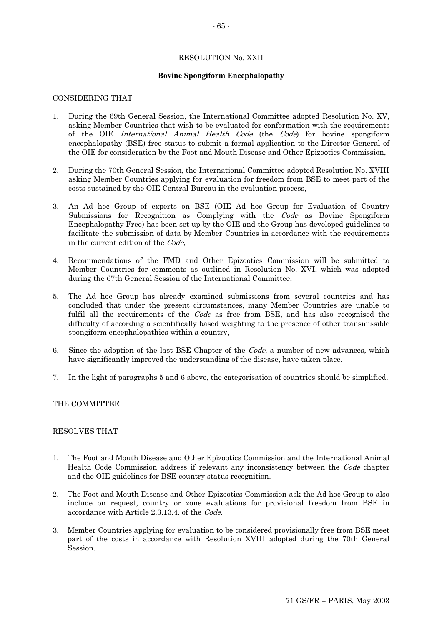# RESOLUTION No. XXII

# **Bovine Spongiform Encephalopathy**

## CONSIDERING THAT

- 1. During the 69th General Session, the International Committee adopted Resolution No. XV, asking Member Countries that wish to be evaluated for conformation with the requirements of the OIE *International Animal Health Code* (the *Code*) for bovine spongiform encephalopathy (BSE) free status to submit a formal application to the Director General of the OIE for consideration by the Foot and Mouth Disease and Other Epizootics Commission,
- 2. During the 70th General Session, the International Committee adopted Resolution No. XVIII asking Member Countries applying for evaluation for freedom from BSE to meet part of the costs sustained by the OIE Central Bureau in the evaluation process,
- 3. An Ad hoc Group of experts on BSE (OIE Ad hoc Group for Evaluation of Country Submissions for Recognition as Complying with the Code as Bovine Spongiform Encephalopathy Free) has been set up by the OIE and the Group has developed guidelines to facilitate the submission of data by Member Countries in accordance with the requirements in the current edition of the Code,
- 4. Recommendations of the FMD and Other Epizootics Commission will be submitted to Member Countries for comments as outlined in Resolution No. XVI, which was adopted during the 67th General Session of the International Committee,
- 5. The Ad hoc Group has already examined submissions from several countries and has concluded that under the present circumstances, many Member Countries are unable to fulfil all the requirements of the *Code* as free from BSE, and has also recognised the difficulty of according a scientifically based weighting to the presence of other transmissible spongiform encephalopathies within a country,
- 6. Since the adoption of the last BSE Chapter of the Code, a number of new advances, which have significantly improved the understanding of the disease, have taken place.
- 7. In the light of paragraphs 5 and 6 above, the categorisation of countries should be simplified.

# THE COMMITTEE

# RESOLVES THAT

- 1. The Foot and Mouth Disease and Other Epizootics Commission and the International Animal Health Code Commission address if relevant any inconsistency between the Code chapter and the OIE guidelines for BSE country status recognition.
- 2. The Foot and Mouth Disease and Other Epizootics Commission ask the Ad hoc Group to also include on request, country or zone evaluations for provisional freedom from BSE in accordance with Article 2.3.13.4. of the Code.
- 3. Member Countries applying for evaluation to be considered provisionally free from BSE meet part of the costs in accordance with Resolution XVIII adopted during the 70th General Session.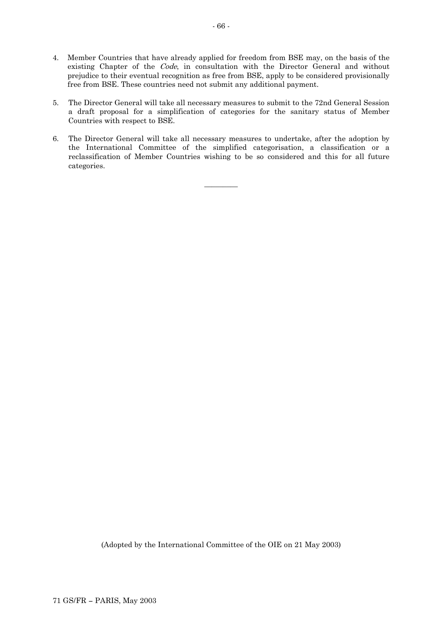- 4. Member Countries that have already applied for freedom from BSE may, on the basis of the existing Chapter of the Code, in consultation with the Director General and without prejudice to their eventual recognition as free from BSE, apply to be considered provisionally free from BSE. These countries need not submit any additional payment.
- 5. The Director General will take all necessary measures to submit to the 72nd General Session a draft proposal for a simplification of categories for the sanitary status of Member Countries with respect to BSE.
- 6. The Director General will take all necessary measures to undertake, after the adoption by the International Committee of the simplified categorisation, a classification or a reclassification of Member Countries wishing to be so considered and this for all future categories.

 $\overline{\phantom{a}}$ 

(Adopted by the International Committee of the OIE on 21 May 2003)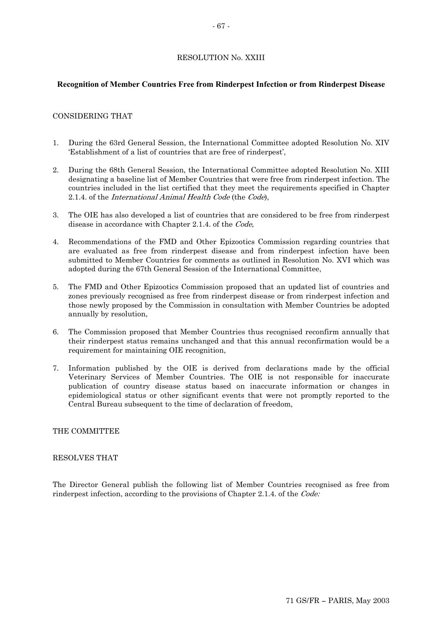# RESOLUTION No. XXIII

# **Recognition of Member Countries Free from Rinderpest Infection or from Rinderpest Disease**

# CONSIDERING THAT

- 1. During the 63rd General Session, the International Committee adopted Resolution No. XIV 'Establishment of a list of countries that are free of rinderpest',
- 2. During the 68th General Session, the International Committee adopted Resolution No. XIII designating a baseline list of Member Countries that were free from rinderpest infection. The countries included in the list certified that they meet the requirements specified in Chapter 2.1.4. of the International Animal Health Code (the Code),
- 3. The OIE has also developed a list of countries that are considered to be free from rinderpest disease in accordance with Chapter 2.1.4. of the Code,
- 4. Recommendations of the FMD and Other Epizootics Commission regarding countries that are evaluated as free from rinderpest disease and from rinderpest infection have been submitted to Member Countries for comments as outlined in Resolution No. XVI which was adopted during the 67th General Session of the International Committee,
- 5. The FMD and Other Epizootics Commission proposed that an updated list of countries and zones previously recognised as free from rinderpest disease or from rinderpest infection and those newly proposed by the Commission in consultation with Member Countries be adopted annually by resolution,
- 6. The Commission proposed that Member Countries thus recognised reconfirm annually that their rinderpest status remains unchanged and that this annual reconfirmation would be a requirement for maintaining OIE recognition,
- 7. Information published by the OIE is derived from declarations made by the official Veterinary Services of Member Countries. The OIE is not responsible for inaccurate publication of country disease status based on inaccurate information or changes in epidemiological status or other significant events that were not promptly reported to the Central Bureau subsequent to the time of declaration of freedom,

# THE COMMITTEE

# RESOLVES THAT

The Director General publish the following list of Member Countries recognised as free from rinderpest infection, according to the provisions of Chapter 2.1.4. of the *Code:*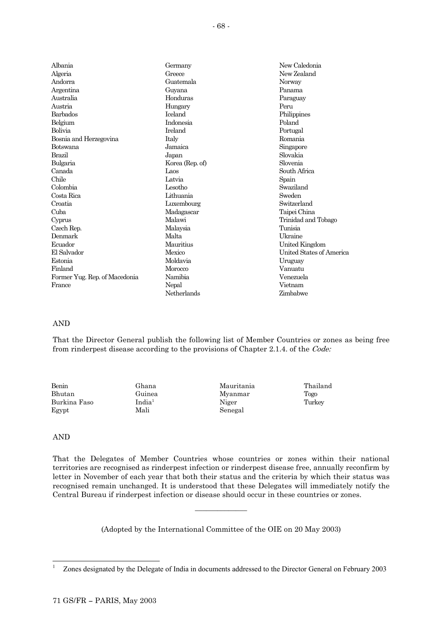| Albania                |                       | New Caledonia            |  |
|------------------------|-----------------------|--------------------------|--|
|                        |                       | Germany                  |  |
| Algeria                | New Zealand<br>Greece |                          |  |
| Andorra                | Guatemala             | Norway                   |  |
| Argentina              | Guyana                | Panama                   |  |
| Australia              | Honduras              | Paraguay                 |  |
| Austria                | Hungary               | Peru                     |  |
| Barbados               | <b>Iceland</b>        | Philippines              |  |
| Belgium                | Indonesia             | Poland                   |  |
| Bolivia                | Ireland               | Portugal                 |  |
| Bosnia and Herzegovina | Italy                 | Romania                  |  |
| Botswana               | Jamaica               | Singapore                |  |
| Brazil                 | Japan                 | Slovakia                 |  |
| Bulgaria               | Korea (Rep. of)       | Slovenia                 |  |
| Canada                 | Laos                  | South Africa             |  |
| Chile                  | Latvia                | Spain                    |  |
| Colombia               | Lesotho               | Swaziland                |  |
| Costa Rica             | Lithuania             | Sweden                   |  |
| Croatia                | Luxembourg            | Switzerland              |  |
| Cuba                   | Madagascar            | Taipei China             |  |
| Cyprus                 | Malawi                | Trinidad and Tobago      |  |
| Czech Rep.             | Malaysia              | Tunisia                  |  |
| Denmark                | Malta                 | <b>Ukraine</b>           |  |
| Ecuador                | Mauritius             | United Kingdom           |  |
| El Salvador            | Mexico                | United States of America |  |
| Estonia                | Moldavia              | Uruguay                  |  |

Morocco Namibia Nepal Netherlands

AND

Finland

France

Former Yug. Rep. of Macedonia

That the Director General publish the following list of Member Countries or zones as being free from rinderpest disease according to the provisions of Chapter 2.1.4. of the Code:

Vanuatu Venezuela Vietnam Zimbabwe

| Benin        | Ghana         | Mauritania | Thailand |
|--------------|---------------|------------|----------|
| Bhutan       | Guinea        | Myanmar    | Togo     |
| Burkina Faso | $\rm India^1$ | Niger      | Turkey   |
| Egypt        | Mali          | Senegal    |          |

# AND

That the Delegates of Member Countries whose countries or zones within their national territories are recognised as rinderpest infection or rinderpest disease free, annually reconfirm by letter in November of each year that both their status and the criteria by which their status was recognised remain unchanged. It is understood that these Delegates will immediately notify the Central Bureau if rinderpest infection or disease should occur in these countries or zones.

(Adopted by the International Committee of the OIE on 20 May 2003)

\_\_\_\_\_\_\_\_\_\_\_\_\_\_

<span id="page-67-0"></span> <sup>1</sup> <sup>1</sup> Zones designated by the Delegate of India in documents addressed to the Director General on February 2003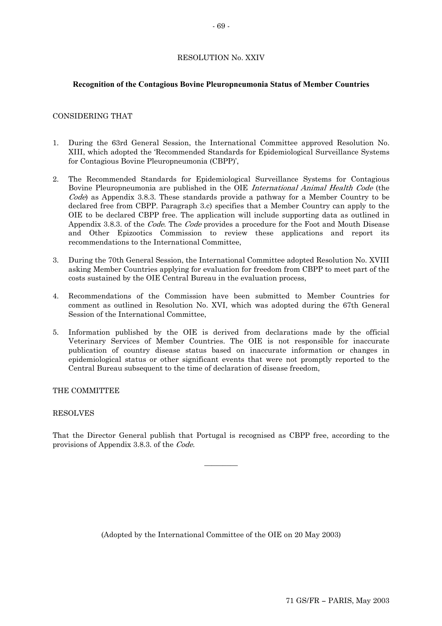# RESOLUTION No. XXIV

# **Recognition of the Contagious Bovine Pleuropneumonia Status of Member Countries**

# CONSIDERING THAT

- 1. During the 63rd General Session, the International Committee approved Resolution No. XIII, which adopted the 'Recommended Standards for Epidemiological Surveillance Systems for Contagious Bovine Pleuropneumonia (CBPP)',
- 2. The Recommended Standards for Epidemiological Surveillance Systems for Contagious Bovine Pleuropneumonia are published in the OIE International Animal Health Code (the Code) as Appendix 3.8.3. These standards provide a pathway for a Member Country to be declared free from CBPP. Paragraph 3.c) specifies that a Member Country can apply to the OIE to be declared CBPP free. The application will include supporting data as outlined in Appendix 3.8.3. of the *Code*. The *Code* provides a procedure for the Foot and Mouth Disease and Other Epizootics Commission to review these applications and report its recommendations to the International Committee,
- 3. During the 70th General Session, the International Committee adopted Resolution No. XVIII asking Member Countries applying for evaluation for freedom from CBPP to meet part of the costs sustained by the OIE Central Bureau in the evaluation process,
- 4. Recommendations of the Commission have been submitted to Member Countries for comment as outlined in Resolution No. XVI, which was adopted during the 67th General Session of the International Committee,
- 5. Information published by the OIE is derived from declarations made by the official Veterinary Services of Member Countries. The OIE is not responsible for inaccurate publication of country disease status based on inaccurate information or changes in epidemiological status or other significant events that were not promptly reported to the Central Bureau subsequent to the time of declaration of disease freedom,

# THE COMMITTEE

# RESOLVES

That the Director General publish that Portugal is recognised as CBPP free, according to the provisions of Appendix 3.8.3. of the Code.

 $\overline{\phantom{a}}$ 

(Adopted by the International Committee of the OIE on 20 May 2003)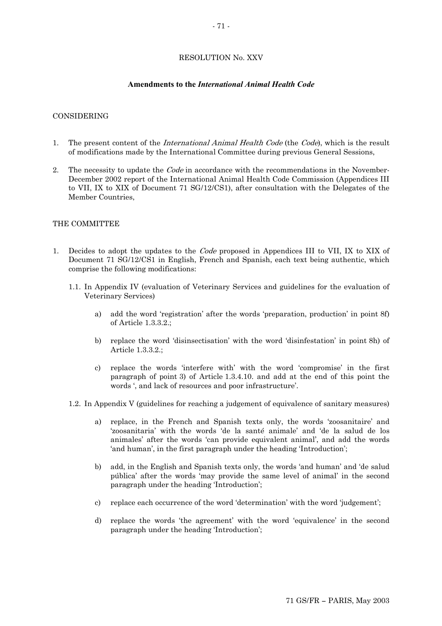# RESOLUTION No. XXV

## **Amendments to the** *International Animal Health Code*

## CONSIDERING

- 1. The present content of the *International Animal Health Code* (the *Code*), which is the result of modifications made by the International Committee during previous General Sessions,
- 2. The necessity to update the *Code* in accordance with the recommendations in the November-December 2002 report of the International Animal Health Code Commission (Appendices III to VII, IX to XIX of Document 71 SG/12/CS1), after consultation with the Delegates of the Member Countries,

### THE COMMITTEE

- 1. Decides to adopt the updates to the Code proposed in Appendices III to VII, IX to XIX of Document 71 SG/12/CS1 in English, French and Spanish, each text being authentic, which comprise the following modifications:
	- 1.1. In Appendix IV (evaluation of Veterinary Services and guidelines for the evaluation of Veterinary Services)
		- a) add the word 'registration' after the words 'preparation, production' in point 8f) of Article 1.3.3.2.;
		- b) replace the word 'disinsectisation' with the word 'disinfestation' in point 8h) of Article 1.3.3.2.;
		- c) replace the words 'interfere with' with the word 'compromise' in the first paragraph of point 3) of Article 1.3.4.10. and add at the end of this point the words ', and lack of resources and poor infrastructure'.
	- 1.2. In Appendix V (guidelines for reaching a judgement of equivalence of sanitary measures)
		- a) replace, in the French and Spanish texts only, the words 'zoosanitaire' and 'zoosanitaria' with the words 'de la santé animale' and 'de la salud de los animales' after the words 'can provide equivalent animal', and add the words 'and human', in the first paragraph under the heading 'Introduction';
		- b) add, in the English and Spanish texts only, the words 'and human' and 'de salud pública' after the words 'may provide the same level of animal' in the second paragraph under the heading 'Introduction';
		- c) replace each occurrence of the word 'determination' with the word 'judgement';
		- d) replace the words 'the agreement' with the word 'equivalence' in the second paragraph under the heading 'Introduction';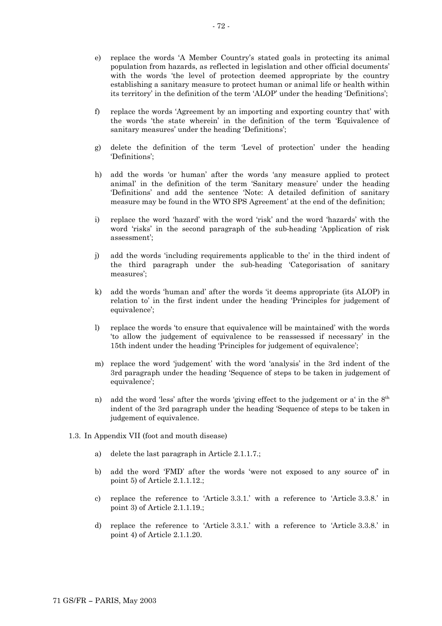- e) replace the words 'A Member Country's stated goals in protecting its animal population from hazards, as reflected in legislation and other official documents' with the words 'the level of protection deemed appropriate by the country establishing a sanitary measure to protect human or animal life or health within its territory' in the definition of the term 'ALOP' under the heading 'Definitions';
- f) replace the words 'Agreement by an importing and exporting country that' with the words 'the state wherein' in the definition of the term 'Equivalence of sanitary measures' under the heading 'Definitions';
- g) delete the definition of the term 'Level of protection' under the heading 'Definitions';
- h) add the words 'or human' after the words 'any measure applied to protect animal' in the definition of the term 'Sanitary measure' under the heading 'Definitions' and add the sentence 'Note: A detailed definition of sanitary measure may be found in the WTO SPS Agreement' at the end of the definition;
- i) replace the word 'hazard' with the word 'risk' and the word 'hazards' with the word 'risks' in the second paragraph of the sub-heading 'Application of risk assessment';
- j) add the words 'including requirements applicable to the' in the third indent of the third paragraph under the sub-heading 'Categorisation of sanitary measures';
- k) add the words 'human and' after the words 'it deems appropriate (its ALOP) in relation to' in the first indent under the heading 'Principles for judgement of equivalence';
- l) replace the words 'to ensure that equivalence will be maintained' with the words 'to allow the judgement of equivalence to be reassessed if necessary' in the 15th indent under the heading 'Principles for judgement of equivalence';
- m) replace the word 'judgement' with the word 'analysis' in the 3rd indent of the 3rd paragraph under the heading 'Sequence of steps to be taken in judgement of equivalence';
- n) add the word 'less' after the words 'giving effect to the judgement or a' in the  $8<sup>th</sup>$ indent of the 3rd paragraph under the heading 'Sequence of steps to be taken in judgement of equivalence.
- 1.3. In Appendix VII (foot and mouth disease)
	- a) delete the last paragraph in Article 2.1.1.7.;
	- b) add the word 'FMD' after the words 'were not exposed to any source of' in point 5) of Article 2.1.1.12.;
	- c) replace the reference to 'Article 3.3.1.' with a reference to 'Article 3.3.8.' in point 3) of Article 2.1.1.19.;
	- d) replace the reference to 'Article 3.3.1.' with a reference to 'Article 3.3.8.' in point 4) of Article 2.1.1.20.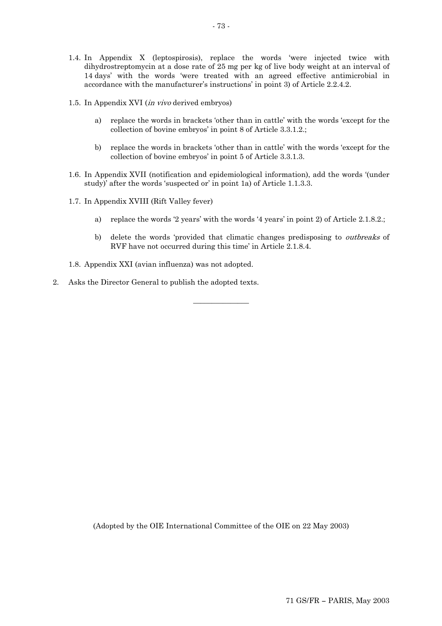- 1.4. In Appendix X (leptospirosis), replace the words 'were injected twice with dihydrostreptomycin at a dose rate of 25 mg per kg of live body weight at an interval of 14 days' with the words 'were treated with an agreed effective antimicrobial in accordance with the manufacturer's instructions' in point 3) of Article 2.2.4.2.
- 1.5. In Appendix XVI (in vivo derived embryos)
	- a) replace the words in brackets 'other than in cattle' with the words 'except for the collection of bovine embryos' in point 8 of Article 3.3.1.2.;
	- b) replace the words in brackets 'other than in cattle' with the words 'except for the collection of bovine embryos' in point 5 of Article 3.3.1.3.
- 1.6. In Appendix XVII (notification and epidemiological information), add the words '(under study)' after the words 'suspected or' in point 1a) of Article 1.1.3.3.

 $\overline{\phantom{a}}$  , where  $\overline{\phantom{a}}$ 

- 1.7. In Appendix XVIII (Rift Valley fever)
	- a) replace the words '2 years' with the words '4 years' in point 2) of Article 2.1.8.2.;
	- b) delete the words 'provided that climatic changes predisposing to *outbreaks* of RVF have not occurred during this time' in Article 2.1.8.4.
- 1.8. Appendix XXI (avian influenza) was not adopted.
- 2. Asks the Director General to publish the adopted texts.

(Adopted by the OIE International Committee of the OIE on 22 May 2003)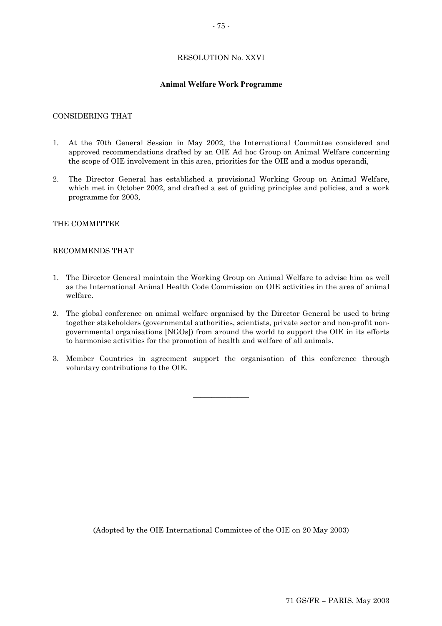## RESOLUTION No. XXVI

### **Animal Welfare Work Programme**

### CONSIDERING THAT

- 1. At the 70th General Session in May 2002, the International Committee considered and approved recommendations drafted by an OIE Ad hoc Group on Animal Welfare concerning the scope of OIE involvement in this area, priorities for the OIE and a modus operandi,
- 2. The Director General has established a provisional Working Group on Animal Welfare, which met in October 2002, and drafted a set of guiding principles and policies, and a work programme for 2003,

### THE COMMITTEE

### RECOMMENDS THAT

- 1. The Director General maintain the Working Group on Animal Welfare to advise him as well as the International Animal Health Code Commission on OIE activities in the area of animal welfare.
- 2. The global conference on animal welfare organised by the Director General be used to bring together stakeholders (governmental authorities, scientists, private sector and non-profit nongovernmental organisations [NGOs]) from around the world to support the OIE in its efforts to harmonise activities for the promotion of health and welfare of all animals.
- 3. Member Countries in agreement support the organisation of this conference through voluntary contributions to the OIE.

 $\overline{\phantom{a}}$  , where  $\overline{\phantom{a}}$ 

(Adopted by the OIE International Committee of the OIE on 20 May 2003)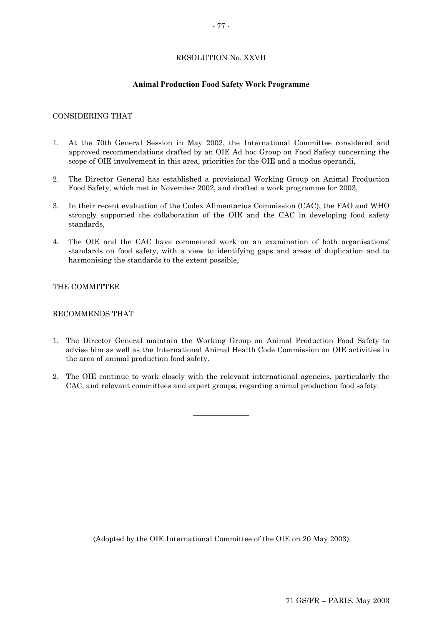## RESOLUTION No. XXVII

### **Animal Production Food Safety Work Programme**

### CONSIDERING THAT

- 1. At the 70th General Session in May 2002, the International Committee considered and approved recommendations drafted by an OIE Ad hoc Group on Food Safety concerning the scope of OIE involvement in this area, priorities for the OIE and a modus operandi,
- 2. The Director General has established a provisional Working Group on Animal Production Food Safety, which met in November 2002, and drafted a work programme for 2003,
- 3. In their recent evaluation of the Codex Alimentarius Commission (CAC), the FAO and WHO strongly supported the collaboration of the OIE and the CAC in developing food safety standards,
- 4. The OIE and the CAC have commenced work on an examination of both organisations' standards on food safety, with a view to identifying gaps and areas of duplication and to harmonising the standards to the extent possible,

## THE COMMITTEE

### RECOMMENDS THAT

- 1. The Director General maintain the Working Group on Animal Production Food Safety to advise him as well as the International Animal Health Code Commission on OIE activities in the area of animal production food safety.
- 2. The OIE continue to work closely with the relevant international agencies, particularly the CAC, and relevant committees and expert groups, regarding animal production food safety.

 $\overline{\phantom{a}}$  , where  $\overline{\phantom{a}}$ 

(Adopted by the OIE International Committee of the OIE on 20 May 2003)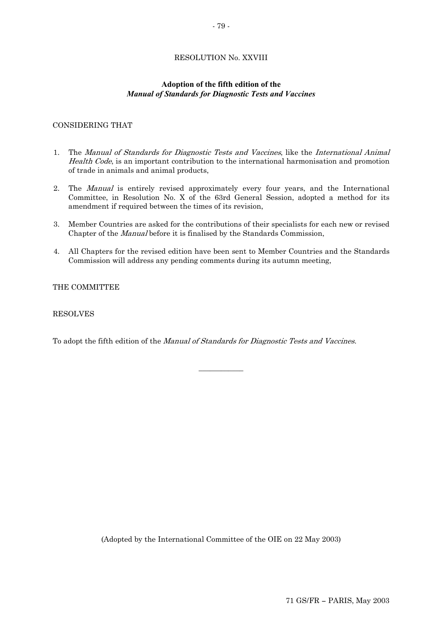# RESOLUTION No. XXVIII

## **Adoption of the fifth edition of the**  *Manual of Standards for Diagnostic Tests and Vaccines*

## CONSIDERING THAT

- 1. The Manual of Standards for Diagnostic Tests and Vaccines, like the International Animal Health Code, is an important contribution to the international harmonisation and promotion of trade in animals and animal products,
- 2. The Manual is entirely revised approximately every four years, and the International Committee, in Resolution No. X of the 63rd General Session, adopted a method for its amendment if required between the times of its revision,
- 3. Member Countries are asked for the contributions of their specialists for each new or revised Chapter of the Manual before it is finalised by the Standards Commission,
- 4. All Chapters for the revised edition have been sent to Member Countries and the Standards Commission will address any pending comments during its autumn meeting,

 $\overline{\phantom{a}}$  , we can also the contract of  $\overline{\phantom{a}}$ 

THE COMMITTEE

## RESOLVES

To adopt the fifth edition of the *Manual of Standards for Diagnostic Tests and Vaccines*.

(Adopted by the International Committee of the OIE on 22 May 2003)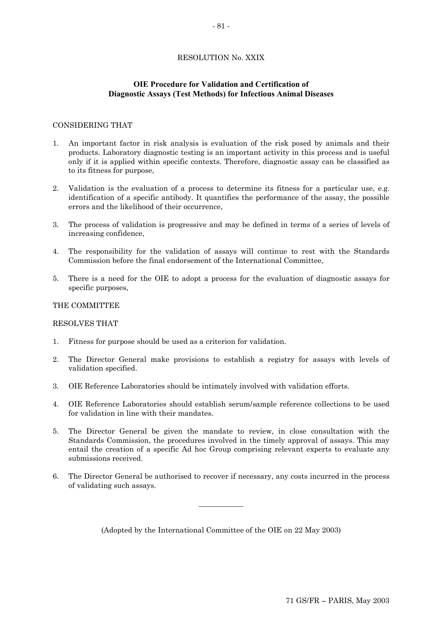## RESOLUTION No. XXIX

## **OIE Procedure for Validation and Certification of Diagnostic Assays (Test Methods) for Infectious Animal Diseases**

### CONSIDERING THAT

- 1. An important factor in risk analysis is evaluation of the risk posed by animals and their products. Laboratory diagnostic testing is an important activity in this process and is useful only if it is applied within specific contexts. Therefore, diagnostic assay can be classified as to its fitness for purpose,
- 2. Validation is the evaluation of a process to determine its fitness for a particular use, e.g. identification of a specific antibody. It quantifies the performance of the assay, the possible errors and the likelihood of their occurrence,
- 3. The process of validation is progressive and may be defined in terms of a series of levels of increasing confidence,
- 4. The responsibility for the validation of assays will continue to rest with the Standards Commission before the final endorsement of the International Committee,
- 5. There is a need for the OIE to adopt a process for the evaluation of diagnostic assays for specific purposes,

### THE COMMITTEE

### RESOLVES THAT

- 1. Fitness for purpose should be used as a criterion for validation.
- 2. The Director General make provisions to establish a registry for assays with levels of validation specified.
- 3. OIE Reference Laboratories should be intimately involved with validation efforts.
- 4. OIE Reference Laboratories should establish serum/sample reference collections to be used for validation in line with their mandates.
- 5. The Director General be given the mandate to review, in close consultation with the Standards Commission, the procedures involved in the timely approval of assays. This may entail the creation of a specific Ad hoc Group comprising relevant experts to evaluate any submissions received.
- 6. The Director General be authorised to recover if necessary, any costs incurred in the process of validating such assays.

 $\overline{\phantom{a}}$  , where  $\overline{\phantom{a}}$ 

(Adopted by the International Committee of the OIE on 22 May 2003)

#### - 81 -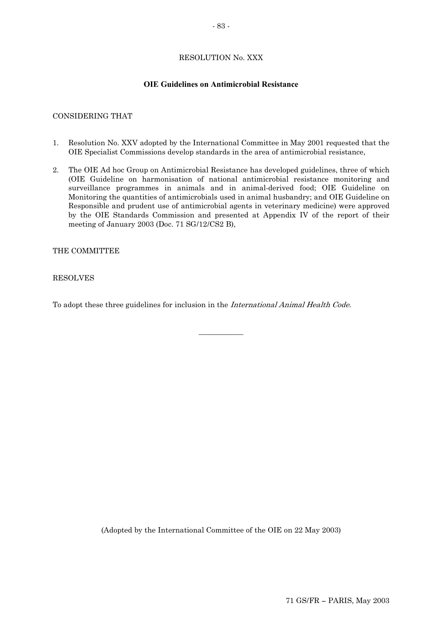## RESOLUTION No. XXX

## **OIE Guidelines on Antimicrobial Resistance**

## CONSIDERING THAT

- 1. Resolution No. XXV adopted by the International Committee in May 2001 requested that the OIE Specialist Commissions develop standards in the area of antimicrobial resistance,
- 2. The OIE Ad hoc Group on Antimicrobial Resistance has developed guidelines, three of which (OIE Guideline on harmonisation of national antimicrobial resistance monitoring and surveillance programmes in animals and in animal-derived food; OIE Guideline on Monitoring the quantities of antimicrobials used in animal husbandry; and OIE Guideline on Responsible and prudent use of antimicrobial agents in veterinary medicine) were approved by the OIE Standards Commission and presented at Appendix IV of the report of their meeting of January 2003 (Doc. 71 SG/12/CS2 B),

### THE COMMITTEE

### RESOLVES

To adopt these three guidelines for inclusion in the International Animal Health Code.

 $\overline{\phantom{a}}$  , we can also the contract of  $\overline{\phantom{a}}$ 

(Adopted by the International Committee of the OIE on 22 May 2003)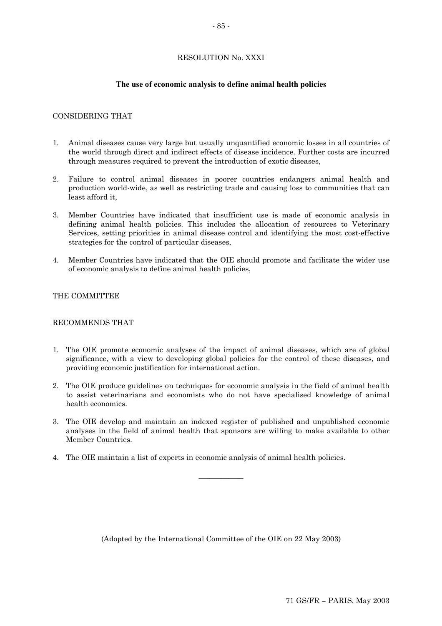## RESOLUTION No. XXXI

### **The use of economic analysis to define animal health policies**

### CONSIDERING THAT

- 1. Animal diseases cause very large but usually unquantified economic losses in all countries of the world through direct and indirect effects of disease incidence. Further costs are incurred through measures required to prevent the introduction of exotic diseases,
- 2. Failure to control animal diseases in poorer countries endangers animal health and production world-wide, as well as restricting trade and causing loss to communities that can least afford it,
- 3. Member Countries have indicated that insufficient use is made of economic analysis in defining animal health policies. This includes the allocation of resources to Veterinary Services, setting priorities in animal disease control and identifying the most cost-effective strategies for the control of particular diseases,
- 4. Member Countries have indicated that the OIE should promote and facilitate the wider use of economic analysis to define animal health policies,

### THE COMMITTEE

### RECOMMENDS THAT

- 1. The OIE promote economic analyses of the impact of animal diseases, which are of global significance, with a view to developing global policies for the control of these diseases, and providing economic justification for international action.
- 2. The OIE produce guidelines on techniques for economic analysis in the field of animal health to assist veterinarians and economists who do not have specialised knowledge of animal health economics.
- 3. The OIE develop and maintain an indexed register of published and unpublished economic analyses in the field of animal health that sponsors are willing to make available to other Member Countries.

 $\overline{\phantom{a}}$  , where  $\overline{\phantom{a}}$ 

4. The OIE maintain a list of experts in economic analysis of animal health policies.

(Adopted by the International Committee of the OIE on 22 May 2003)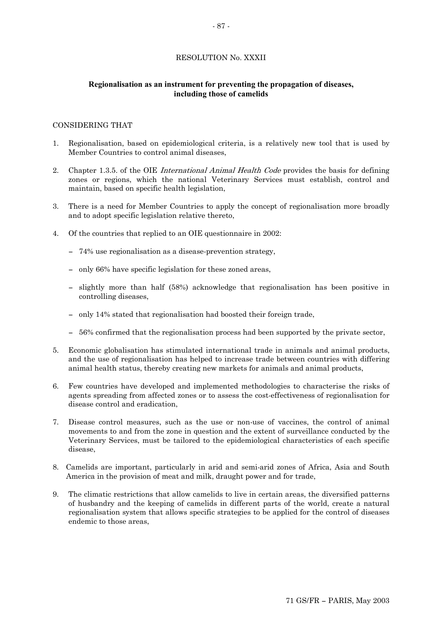## RESOLUTION No. XXXII

## **Regionalisation as an instrument for preventing the propagation of diseases, including those of camelids**

### CONSIDERING THAT

- 1. Regionalisation, based on epidemiological criteria, is a relatively new tool that is used by Member Countries to control animal diseases,
- 2. Chapter 1.3.5. of the OIE *International Animal Health Code* provides the basis for defining zones or regions, which the national Veterinary Services must establish, control and maintain, based on specific health legislation,
- 3. There is a need for Member Countries to apply the concept of regionalisation more broadly and to adopt specific legislation relative thereto,
- 4. Of the countries that replied to an OIE questionnaire in 2002:
	- 74% use regionalisation as a disease-prevention strategy,
	- only 66% have specific legislation for these zoned areas,
	- slightly more than half (58%) acknowledge that regionalisation has been positive in controlling diseases,
	- only 14% stated that regionalisation had boosted their foreign trade,
	- 56% confirmed that the regionalisation process had been supported by the private sector,
- 5. Economic globalisation has stimulated international trade in animals and animal products, and the use of regionalisation has helped to increase trade between countries with differing animal health status, thereby creating new markets for animals and animal products,
- 6. Few countries have developed and implemented methodologies to characterise the risks of agents spreading from affected zones or to assess the cost-effectiveness of regionalisation for disease control and eradication,
- 7. Disease control measures, such as the use or non-use of vaccines, the control of animal movements to and from the zone in question and the extent of surveillance conducted by the Veterinary Services, must be tailored to the epidemiological characteristics of each specific disease,
- 8. Camelids are important, particularly in arid and semi-arid zones of Africa, Asia and South America in the provision of meat and milk, draught power and for trade,
- 9. The climatic restrictions that allow camelids to live in certain areas, the diversified patterns of husbandry and the keeping of camelids in different parts of the world, create a natural regionalisation system that allows specific strategies to be applied for the control of diseases endemic to those areas,